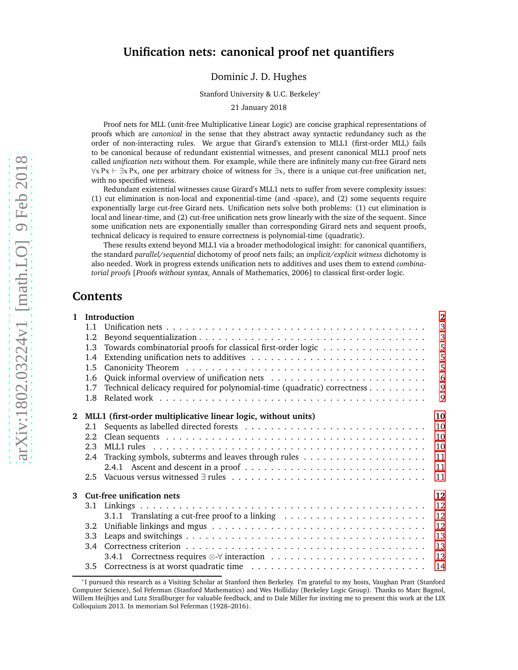## **Unification nets: canonical proof net quantifiers**

Dominic J. D. Hughes

Stanford University & U.C. Berkeley\*

21 January 2018

Proof nets for MLL (unit-free Multiplicative Linear Logic) are concise graphical representations of proofs which are *canonical* in the sense that they abstract away syntactic redundancy such as the order of non-interacting rules. We argue that Girard's extension to MLL1 (first-order MLL) fails to be canonical because of redundant existential witnesses, and present canonical MLL1 proof nets called *unification nets* without them. For example, while there are infinitely many cut-free Girard nets  $\forall x \; Px \vdash \exists x \; Px$ , one per arbitrary choice of witness for  $\exists x$ , there is a unique cut-free unification net, with no specified witness.

Redundant existential witnesses cause Girard's MLL1 nets to suffer from severe complexity issues: (1) cut elimination is non-local and exponential-time (and -space), and (2) some sequents require exponentially large cut-free Girard nets. Unification nets solve both problems: (1) cut elimination is local and linear-time, and (2) cut-free unification nets grow linearly with the size of the sequent. Since some unification nets are exponentially smaller than corresponding Girard nets and sequent proofs, technical delicacy is required to ensure correctness is polynomial-time (quadratic).

These results extend beyond MLL1 via a broader methodological insight: for canonical quantifiers, the standard *parallel/sequential* dichotomy of proof nets fails; an *implicit/explicit witness* dichotomy is also needed. Work in progress extends unification nets to additives and uses them to extend *combinatorial proofs* [Proofs without syntax, Annals of Mathematics, 2006] to classical first-order logic.

## **Contents**

| $\mathbf{1}$ |                  | Introduction                                                                                      | $\overline{2}$ |
|--------------|------------------|---------------------------------------------------------------------------------------------------|----------------|
|              | 1.1              |                                                                                                   | 3              |
|              | 1.2              |                                                                                                   | 3              |
|              | 1.3              | Towards combinatorial proofs for classical first-order logic                                      | 5              |
|              | 1.4              |                                                                                                   | 5              |
|              | 1.5              |                                                                                                   | 5              |
|              | 1.6              |                                                                                                   | 6              |
|              | 1.7              | Technical delicacy required for polynomial-time (quadratic) correctness                           | 9              |
|              | 1.8              |                                                                                                   | 9              |
| $\mathbf{2}$ |                  | MLL1 (first-order multiplicative linear logic, without units)                                     | 10             |
|              | 2.1              |                                                                                                   | 10             |
|              | $2.2\phantom{0}$ |                                                                                                   | 10             |
|              | 2.3              |                                                                                                   | 10             |
|              | 2.4              |                                                                                                   | 11             |
|              |                  |                                                                                                   | 11             |
|              |                  |                                                                                                   | 11             |
| 3            |                  | Cut-free unification nets                                                                         | 12             |
|              |                  |                                                                                                   | 12             |
|              |                  | 3.1.1 Translating a cut-free proof to a linking $\dots \dots \dots \dots \dots \dots \dots \dots$ | 12             |
|              | 3.2              |                                                                                                   | 12             |
|              | 3.3              |                                                                                                   | 13             |
|              |                  |                                                                                                   | 13             |
|              |                  |                                                                                                   | 13             |
|              |                  |                                                                                                   | 14             |

<sup>\*</sup>I pursued this research as a Visiting Scholar at Stanford then Berkeley. I'm grateful to my hosts, Vaughan Pratt (Stanford Computer Science), Sol Feferman (Stanford Mathematics) and Wes Holliday (Berkeley Logic Group). Thanks to Marc Bagnol, Willem Heijltjes and Lutz Straßburger for valuable feedback, and to Dale Miller for inviting me to present this work at the LIX Colloquium 2013. In memoriam Sol Feferman (1928–2016).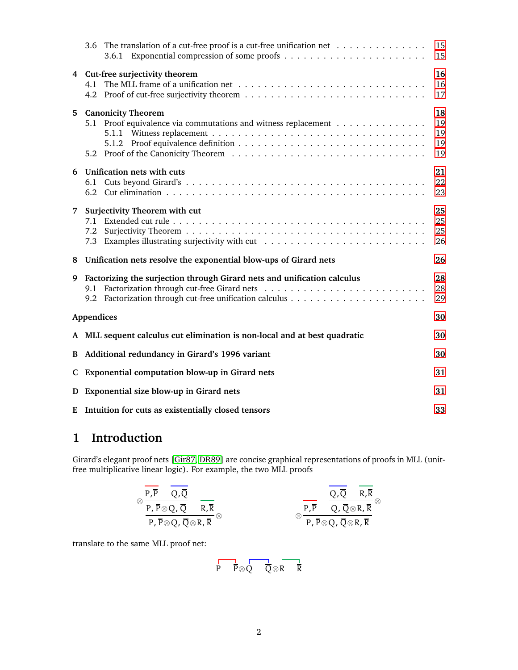|    | 3.6 The translation of a cut-free proof is a cut-free unification net                       | 15<br>15                   |  |  |  |  |  |
|----|---------------------------------------------------------------------------------------------|----------------------------|--|--|--|--|--|
|    | 4 Cut-free surjectivity theorem                                                             | 16<br>16<br>17             |  |  |  |  |  |
| 5. | <b>Canonicity Theorem</b><br>5.1 Proof equivalence via commutations and witness replacement | 18<br>19<br>19<br>19<br>19 |  |  |  |  |  |
| 6  | <b>Unification nets with cuts</b><br>6.1                                                    | 21<br>22<br>23             |  |  |  |  |  |
| 7  | <b>Surjectivity Theorem with cut</b><br>7.1<br>7.2<br>7.3                                   | 25<br>25<br>25<br>26       |  |  |  |  |  |
| 8  | Unification nets resolve the exponential blow-ups of Girard nets                            | 26                         |  |  |  |  |  |
| 9  | Factorizing the surjection through Girard nets and unification calculus                     | 28<br>28<br>29             |  |  |  |  |  |
|    | Appendices                                                                                  | 30                         |  |  |  |  |  |
|    | A MLL sequent calculus cut elimination is non-local and at best quadratic                   | 30                         |  |  |  |  |  |
| B  | Additional redundancy in Girard's 1996 variant                                              | 30                         |  |  |  |  |  |
|    | C Exponential computation blow-up in Girard nets                                            |                            |  |  |  |  |  |
| D  | Exponential size blow-up in Girard nets                                                     | 31                         |  |  |  |  |  |
|    | E Intuition for cuts as existentially closed tensors<br>33                                  |                            |  |  |  |  |  |

# <span id="page-1-0"></span>**1 Introduction**

Girard's elegant proof nets [\[Gir87,](#page-32-1) [DR89\]](#page-32-2) are concise graphical representations of proofs in MLL (unitfree multiplicative linear logic). For example, the two MLL proofs

$$
\otimes \frac{\overline{P, \overline{P}} \quad \overline{Q, \overline{Q}}}{\overline{P, \overline{P} \otimes Q, \overline{Q}} \quad \overline{R, \overline{R}}} \qquad \qquad \overline{R, \overline{R} \otimes \overline{P, \overline{P} \otimes Q, \overline{Q} \otimes R, \overline{R}}} \qquad \qquad \overline{P, \overline{P} \otimes Q, \overline{Q} \otimes R, \overline{R}} \otimes
$$

translate to the same MLL proof net:

$$
\overline{P} \quad \overline{P} \otimes \overline{Q} \quad \overline{\overline{Q}} \otimes \overline{R} \quad \overline{R}
$$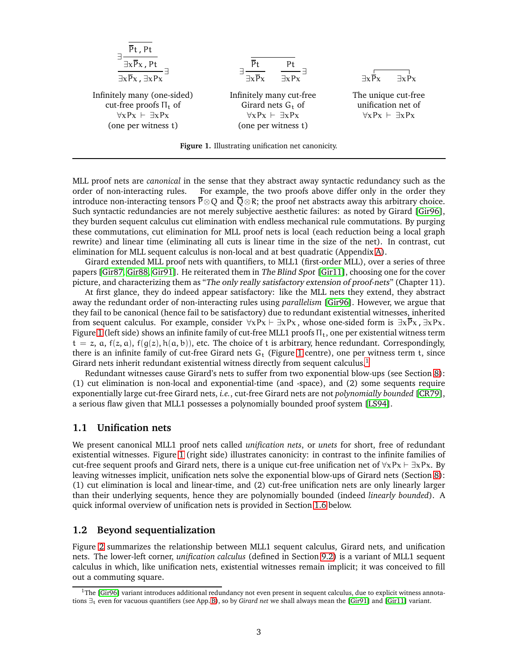<span id="page-2-2"></span>

| \n $\frac{\exists \frac{Pt}{\exists x \overline{P}x, Pt}}{\exists x \overline{P}x, \exists x \overline{P}x}$ \n | \n $\frac{\overline{P}t}{\exists x \overline{P}x}$ \n | \n $\frac{Pt}{\exists x \overline{P}x}$ \n            |                                                       |                                                       |
|-----------------------------------------------------------------------------------------------------------------|-------------------------------------------------------|-------------------------------------------------------|-------------------------------------------------------|-------------------------------------------------------|
| \n $\frac{\exists x \overline{P}x, \exists x \overline{P}x}{\exists x \overline{P}x}$ \n                        | \n $\frac{\overline{P}t}{\exists x \overline{P}x}$ \n | \n $\frac{\overline{P}t}{\exists x \overline{P}x}$ \n |                                                       |                                                       |
| \n $\frac{\overline{P}t}{\exists x \overline{P}x}$ \n                                                           | \n $\frac{\overline{P}t}{\exists x \overline{P}x}$ \n | \n $\frac{\overline{P}t}{\exists x \overline{P}x}$ \n |                                                       |                                                       |
| \n $\frac{\overline{P}t}{\exists x \overline{P}x}$ \n                                                           | \n $\frac{\overline{P}t}{\exists x \overline{P}x}$ \n | \n $\frac{\overline{P}t}{\exists x \overline{P}x}$ \n |                                                       |                                                       |
| \n $\frac{\overline{P}t}{\exists x \overline{P}x}$ \n                                                           | \n $\frac{\overline{P}t}{\exists x \overline{P}x}$ \n | \n $\frac{\overline{P}t}{\exists x \overline{P}x}$ \n | \n $\frac{\overline{P}t}{\exists x \overline{P}x}$ \n | \n $\frac{\overline{P}t}{\exists x \overline{P}x}$ \n |
| \n $\frac{\overline{P}t}{\exists x \overline{P}x}$ \n                                                           | \n $\frac{\overline{P}t}{\exists x \overline{P}x}$ \n | \n $\frac{\overline{P}t}{\exists x \overline{P}x}$ \n | \n $\frac{\overline{P}t}{\exists x \overline{P}x}$ \n |                                                       |

**Figure 1.** Illustrating unification net canonicity.

MLL proof nets are *canonical* in the sense that they abstract away syntactic redundancy such as the order of non-interacting rules. For example, the two proofs above differ only in the order they introduce non-interacting tensors  $\overline{P} \otimes Q$  and  $\overline{Q} \otimes R$ ; the proof net abstracts away this arbitrary choice. Such syntactic redundancies are not merely subjective aesthetic failures: as noted by Girard [\[Gir96\]](#page-33-0), they burden sequent calculus cut elimination with endless mechanical rule commutations. By purging these commutations, cut elimination for MLL proof nets is local (each reduction being a local graph rewrite) and linear time (eliminating all cuts is linear time in the size of the net). In contrast, cut elimination for MLL sequent calculus is non-local and at best quadratic (Appendix [A\)](#page-29-0).

Girard extended MLL proof nets with quantifiers, to MLL1 (first-order MLL), over a series of three papers [\[Gir87,](#page-32-1) [Gir88,](#page-32-3) [Gir91\]](#page-32-4). He reiterated them in The Blind Spot [\[Gir11\]](#page-33-1), choosing one for the cover picture, and characterizing them as "The only really satisfactory extension of proof-nets" (Chapter 11).

At first glance, they do indeed appear satisfactory: like the MLL nets they extend, they abstract away the redundant order of non-interacting rules using *parallelism* [\[Gir96\]](#page-33-0). However, we argue that they fail to be canonical (hence fail to be satisfactory) due to redundant existential witnesses, inherited from sequent calculus. For example, consider  $\forall x Px \vdash \exists x Px$ , whose one-sided form is  $\exists x \overline{P}x$ ,  $\exists x Px$ . Figure [1](#page-2-2) (left side) shows an infinite family of cut-free MLL1 proofs  $\Pi_t$ , one per existential witness term  $t = z$ , a,  $f(z, a)$ ,  $f(g(z), h(a, b))$ , etc. The choice of t is arbitrary, hence redundant. Correspondingly, there is an infinite family of cut-free Girard nets  $G_t$  (Figure [1](#page-2-2) centre), one per witness term t, since Girard nets inherit redundant existential witness directly from sequent calculus.<sup>[1](#page-2-3)</sup>

Redundant witnesses cause Girard's nets to suffer from two exponential blow-ups (see Section [8\)](#page-25-1): (1) cut elimination is non-local and exponential-time (and -space), and (2) some sequents require exponentially large cut-free Girard nets, *i.e.*, cut-free Girard nets are not *polynomially bounded* [\[CR79\]](#page-32-5), a serious flaw given that MLL1 possesses a polynomially bounded proof system [\[LS94\]](#page-33-2).

## <span id="page-2-0"></span>**1.1 Unification nets**

We present canonical MLL1 proof nets called *unification nets*, or *unets* for short, free of redundant existential witnesses. Figure [1](#page-2-2) (right side) illustrates canonicity: in contrast to the infinite families of cut-free sequent proofs and Girard nets, there is a unique cut-free unification net of  $\forall xPx \vdash \exists xPx$ . By leaving witnesses implicit, unification nets solve the exponential blow-ups of Girard nets (Section [8\)](#page-25-1): (1) cut elimination is local and linear-time, and (2) cut-free unification nets are only linearly larger than their underlying sequents, hence they are polynomially bounded (indeed *linearly bounded*). A quick informal overview of unification nets is provided in Section [1.6](#page-5-0) below.

## <span id="page-2-1"></span>**1.2 Beyond sequentialization**

Figure [2](#page-3-0) summarizes the relationship between MLL1 sequent calculus, Girard nets, and unification nets. The lower-left corner, *unification calculus* (defined in Section [9.2\)](#page-28-0) is a variant of MLL1 sequent calculus in which, like unification nets, existential witnesses remain implicit; it was conceived to fill out a commuting square.

<span id="page-2-3"></span> $1$ The [\[Gir96\]](#page-33-0) variant introduces additional redundancy not even present in sequent calculus, due to explicit witness annotations ∃<sup>t</sup> even for vacuous quantifiers (see App. [B\)](#page-29-1), so by *Girard net* we shall always mean the [\[Gir91\]](#page-32-4) and [\[Gir11\]](#page-33-1) variant.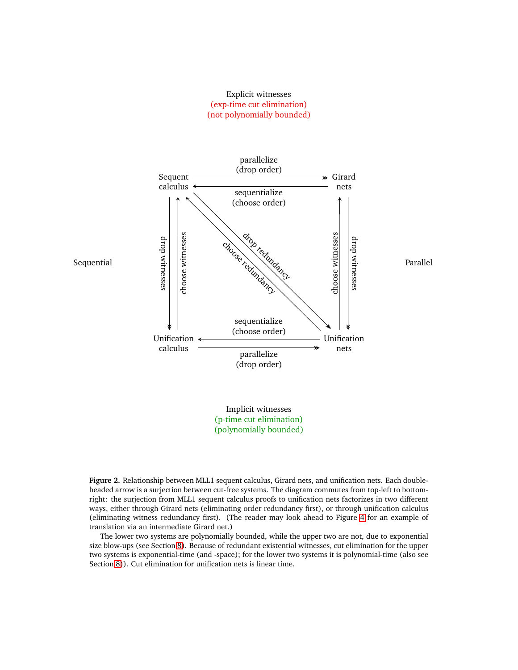## Explicit witnesses (exp-time cut elimination) (not polynomially bounded)

<span id="page-3-0"></span>

(polynomially bounded)

**Figure 2.** Relationship between MLL1 sequent calculus, Girard nets, and unification nets. Each doubleheaded arrow is a surjection between cut-free systems. The diagram commutes from top-left to bottomright: the surjection from MLL1 sequent calculus proofs to unification nets factorizes in two different ways, either through Girard nets (eliminating order redundancy first), or through unification calculus (eliminating witness redundancy first). (The reader may look ahead to Figure [4](#page-6-0) for an example of translation via an intermediate Girard net.)

The lower two systems are polynomially bounded, while the upper two are not, due to exponential size blow-ups (see Section [8\)](#page-25-1). Because of redundant existential witnesses, cut elimination for the upper two systems is exponential-time (and -space); for the lower two systems it is polynomial-time (also see Section [8\)](#page-25-1)). Cut elimination for unification nets is linear time.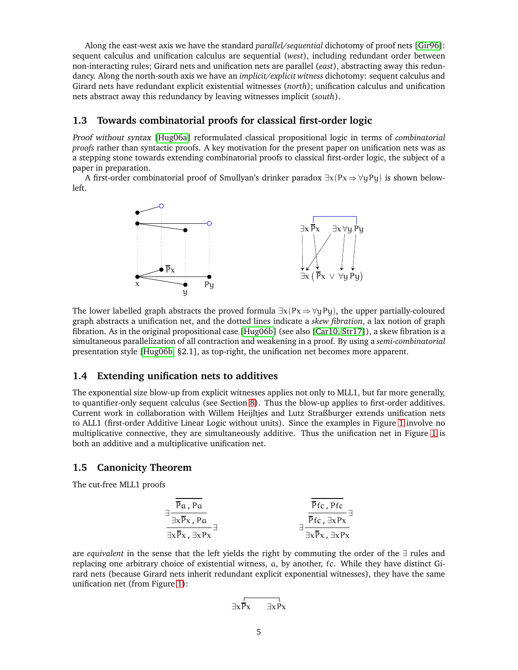Along the east-west axis we have the standard *parallel/sequential* dichotomy of proof nets [\[Gir96\]](#page-33-0): sequent calculus and unification calculus are sequential (*west*), including redundant order between non-interacting rules; Girard nets and unification nets are parallel (*east*), abstracting away this redundancy. Along the north-south axis we have an *implicit/explicit witness* dichotomy: sequent calculus and Girard nets have redundant explicit existential witnesses (*north*); unification calculus and unification nets abstract away this redundancy by leaving witnesses implicit (*south*).

## <span id="page-4-0"></span>**1.3 Towards combinatorial proofs for classical first-order logic**

Proof without syntax [\[Hug06a\]](#page-33-3) reformulated classical propositional logic in terms of *combinatorial proofs* rather than syntactic proofs. A key motivation for the present paper on unification nets was as a stepping stone towards extending combinatorial proofs to classical first-order logic, the subject of a paper in preparation.

A first-order combinatorial proof of Smullyan's drinker paradox  $\exists x (Px \Rightarrow \forall y \exists y)$  is shown belowleft.



The lower labelled graph abstracts the proved formula  $\exists x(Px \Rightarrow \forall yPy)$ , the upper partially-coloured graph abstracts a unification net, and the dotted lines indicate a *skew fibration*, a lax notion of graph fibration. As in the original propositional case [\[Hug06b\]](#page-33-4) (see also [\[Car10,](#page-32-6) [Str17\]](#page-33-5)), a skew fibration is a simultaneous parallelization of all contraction and weakening in a proof. By using a *semi-combinatorial* presentation style [\[Hug06b,](#page-33-4) §2.1], as top-right, the unification net becomes more apparent.

## <span id="page-4-1"></span>**1.4 Extending unification nets to additives**

The exponential size blow-up from explicit witnesses applies not only to MLL1, but far more generally, to quantifier-only sequent calculus (see Section [8\)](#page-25-1). Thus the blow-up applies to first-order additives. Current work in collaboration with Willem Heijltjes and Lutz Straßburger extends unification nets to ALL1 (first-order Additive Linear Logic without units). Since the examples in Figure [1](#page-2-2) involve no multiplicative connective, they are simultaneously additive. Thus the unification net in Figure [1](#page-2-2) is both an additive and a multiplicative unification net.

## <span id="page-4-2"></span>**1.5 Canonicity Theorem**

The cut-free MLL1 proofs

$$
\frac{1}{\frac{\overline{p}_\alpha, p_\alpha}{\exists x \overline{p}_x, \exists x P_x}}\n\frac{\overline{\overline{p}_f}_c, p_f_c}{\overline{\overline{p}_f}_c, \exists x P_x}\n\frac{\overline{\overline{p}_f}_c, p_f_c}{\overline{\overline{p}_f}_c, \exists x P_x}
$$

are *equivalent* in the sense that the left yields the right by commuting the order of the ∃ rules and replacing one arbitrary choice of existential witness, a, by another, fc. While they have distinct Girard nets (because Girard nets inherit redundant explicit exponential witnesses), they have the same unification net (from Figure [1\)](#page-2-2):

$$
\exists x \overline{P} x \qquad \exists x \overline{P} x
$$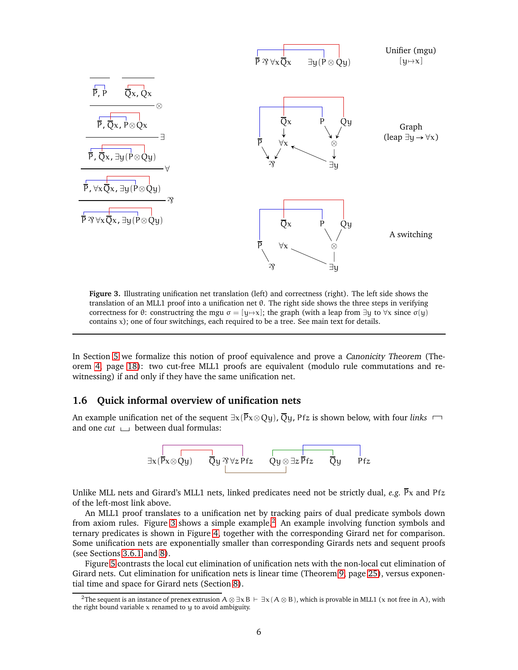<span id="page-5-1"></span>

**Figure 3.** Illustrating unification net translation (left) and correctness (right). The left side shows the translation of an MLL1 proof into a unification net θ. The right side shows the three steps in verifying correctness for θ: constructring the mgu σ = [y→x]; the graph (with a leap from  $\exists y$  to  $\forall x$  since σ(y) contains  $x$ ); one of four switchings, each required to be a tree. See main text for details.

In Section [5](#page-17-0) we formalize this notion of proof equivalence and prove a Canonicity Theorem (Theorem [4,](#page-17-1) page [18\)](#page-17-1): two cut-free MLL1 proofs are equivalent (modulo rule commutations and rewitnessing) if and only if they have the same unification net.

## <span id="page-5-0"></span>**1.6 Quick informal overview of unification nets**

An example unification net of the sequent  $\exists x(\overline{P}x \otimes Qy)$ ,  $\overline{Q}y$ , Pfz is shown below, with four *links*  $\Box$ and one  $cut \Box$  between dual formulas:



Unlike MLL nets and Girard's MLL1 nets, linked predicates need not be strictly dual, *e.g.*  $\bar{P}x$  and Pfz of the left-most link above.

An MLL1 proof translates to a unification net by tracking pairs of dual predicate symbols down from axiom rules. Figure [3](#page-5-1) shows a simple example.<sup>[2](#page-5-2)</sup> An example involving function symbols and ternary predicates is shown in Figure [4,](#page-6-0) together with the corresponding Girard net for comparison. Some unification nets are exponentially smaller than corresponding Girards nets and sequent proofs (see Sections [3.6.1](#page-14-1) and [8\)](#page-25-1).

Figure [5](#page-7-0) contrasts the local cut elimination of unification nets with the non-local cut elimination of Girard nets. Cut elimination for unification nets is linear time (Theorem [9,](#page-24-3) page [25\)](#page-24-3), versus exponential time and space for Girard nets (Section [8\)](#page-25-1).

<span id="page-5-2"></span><sup>&</sup>lt;sup>2</sup>The sequent is an instance of prenex extrusion  $A \otimes \exists x B \vdash \exists x (A \otimes B)$ , which is provable in MLL1 (x not free in A), with the right bound variable  $x$  renamed to  $y$  to avoid ambiguity.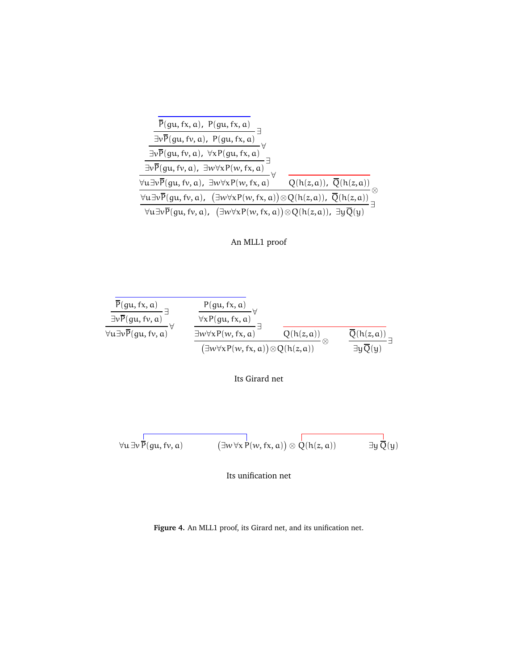<span id="page-6-0"></span>

| $\frac{\overline{P}(gu, fx, a), P(gu, fx, a)}{\overline{P}(gu, fx, a)}$                                                                                                                 |                                      |
|-----------------------------------------------------------------------------------------------------------------------------------------------------------------------------------------|--------------------------------------|
| $\frac{\exists v \overline{P}(gu, fv, a), P(gu, fx, a)} \exists v \overline{P}(gu, fv, a), \forall x P(gu, fx, a)} \exists v \overline{P}(gu, fv, a), \exists w \forall x P(w, fx, a)}$ |                                      |
|                                                                                                                                                                                         |                                      |
|                                                                                                                                                                                         |                                      |
| $\forall$ u $\exists v \overline{P}(gu, fv, a)$ , $\exists w \forall x P(w, fx, a)$                                                                                                     | $Q(h(z,a))$ , $\overline{Q}(h(z,a))$ |
| $\underbrace{\forall u \exists v \overline{P}(gu, fv, a), (\exists w \forall x P(w, fx, a)) \otimes Q(h(z, a)), \overline{Q}(h(z, a))}_{\equiv}$                                        |                                      |
| $\forall u \exists v \overline{P}(gu, fv, a), (\exists w \forall x P(w, fx, a)) \otimes Q(h(z, a)), \exists y \overline{Q}(y)$                                                          |                                      |







$$
\forall u \exists v \, \overline{P}(gu, fv, a) \qquad \qquad (\exists w \, \forall x \, P(w, fx, a)) \otimes Q(h(z, a)) \qquad \qquad \exists y \, \overline{Q}(y)
$$

Its unification net

**Figure 4.** An MLL1 proof, its Girard net, and its unification net.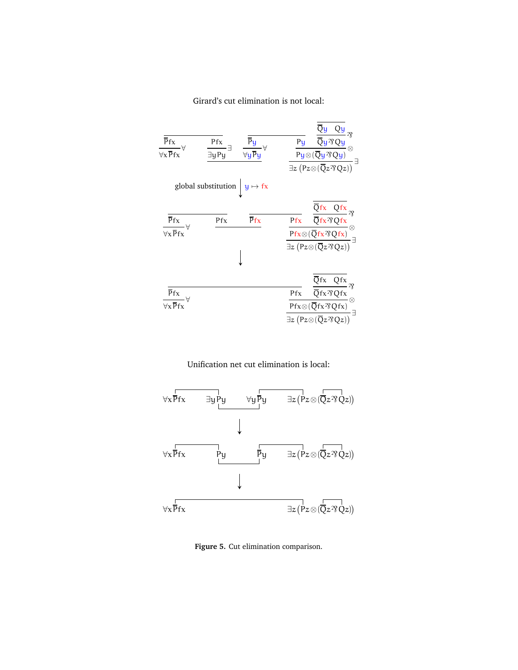## Girard's cut elimination is not local:

<span id="page-7-0"></span>

| Pf x<br>$\forall x \overline{P}$ fx                           | $\frac{\overline{P}y}{\forall y\overline{P}y}$ $\forall$<br>Pfx<br>∃y Py | $\frac{\dfrac{\overline{Q}y \quad Qy}{\overline{Q}y^{\prime 3}Qy}}{\dfrac{Py\otimes (\overline{Q}y^{\prime 3}Qy)}{\overline{Q}y^{\prime 3}Qy}}\otimes\\ \exists z\; \left(Pz\otimes (\overline{Q}z^{\prime 3}Qz)\right)}\exists$                                                                                                                                                                                                                                                                          |
|---------------------------------------------------------------|--------------------------------------------------------------------------|-----------------------------------------------------------------------------------------------------------------------------------------------------------------------------------------------------------------------------------------------------------------------------------------------------------------------------------------------------------------------------------------------------------------------------------------------------------------------------------------------------------|
|                                                               | global substitution $y \mapsto fx$                                       |                                                                                                                                                                                                                                                                                                                                                                                                                                                                                                           |
| $\overline{Pfx}$ $\forall$<br>$\forall x \, \overline{P} f x$ | $\overline{P}$ fx<br>Pf x                                                | $\frac{\frac{\overline{Qfx}-\overline{Qfx}}{\overline{Qfx}\mathcal{R}Qfx}}{\frac{Pfx}{\overline{Qfx}\mathcal{R}Qfx}}\mathcal{R}}\nonumber \\ \frac{\frac{\overline{Pfx}\otimes(\overline{Qfx}\mathcal{R}Qfx)}{\mathcal{R}Z\mathcal{R}Qfx}}{\exists z\left(Pz\otimes(\overline{Q}z\mathcal{R}Qz)\right)}\exists$                                                                                                                                                                                           |
| Pfx<br>$\overline{\forall x \overline{P}$ fx                  |                                                                          | $\frac{\frac{\overline{Q}\text{fx}}{\overline{Q}\text{fx}\mathcal{R}}\frac{\overline{Q}\text{fx}}{\overline{Q}\text{fx}\mathcal{R}}\mathcal{R}}{\frac{\text{Prx}\otimes(\overline{Q}\text{fx}\mathcal{R}\mathcal{Q}\text{fx})}{\mathcal{R}\text{fx}\otimes(\overline{Q}\text{fx}\mathcal{R}\mathcal{Q}\text{fx})}\otimes\\\frac{\overline{P}\text{fx}\otimes(\overline{Q}\text{fx}\mathcal{R}\mathcal{Q}\text{fx})}{\exists z\left(\text{Pz}\otimes(\overline{Q}z\mathcal{R}\mathcal{Q}z)\right)}\exists$ |





**Figure 5.** Cut elimination comparison.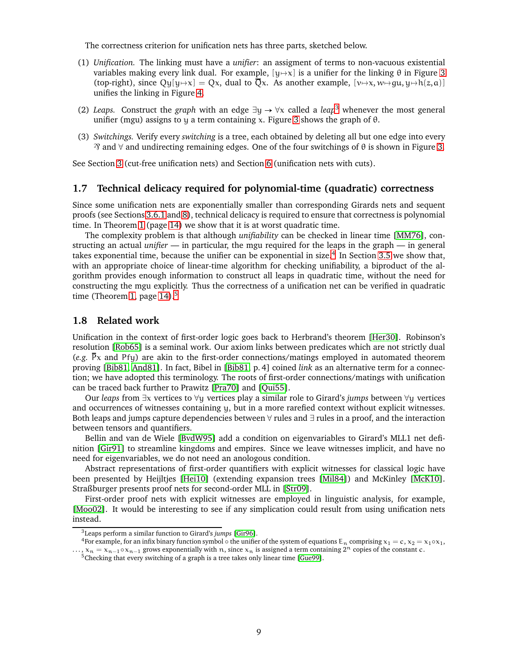The correctness criterion for unification nets has three parts, sketched below.

- (1) *Unification.* The linking must have a *unifier*: an assigment of terms to non-vacuous existential variables making every link dual. For example,  $[y \rightarrow x]$  is a unifier for the linking  $\theta$  in Figure [3](#page-5-1) (top-right), since  $Qy[y \rightarrow x] = Qx$ , dual to  $\overline{Q}x$ . As another example,  $[v \rightarrow x, w \rightarrow gu, y \rightarrow h(z, a)]$ unifies the linking in Figure [4.](#page-6-0)
- (2) *Leaps.* Construct the *graph* with an edge  $\exists y \rightarrow \forall x$  called a *leap*<sup>[3](#page-8-2)</sup> whenever the most general unifier (mgu) assigns to y a term containing x. Figure [3](#page-5-1) shows the graph of  $\theta$ .
- (3) *Switchings.* Verify every *switching* is a tree, each obtained by deleting all but one edge into every  $\mathcal{R}$  and  $\forall$  and undirecting remaining edges. One of the four switchings of  $\theta$  is shown in Figure [3.](#page-5-1)

See Section [3](#page-11-0) (cut-free unification nets) and Section [6](#page-20-0) (unification nets with cuts).

## <span id="page-8-0"></span>**1.7 Technical delicacy required for polynomial-time (quadratic) correctness**

Since some unification nets are exponentially smaller than corresponding Girards nets and sequent proofs (see Sections [3.6.1](#page-14-1) and [8\)](#page-25-1), technical delicacy is required to ensure that correctness is polynomial time. In Theorem [1](#page-13-1) (page [14\)](#page-13-1) we show that it is at worst quadratic time.

The complexity problem is that although *unifiability* can be checked in linear time [\[MM76\]](#page-33-6), constructing an actual *unifier* — in particular, the mgu required for the leaps in the graph — in general takes exponential time, because the unifier can be exponential in size.<sup>[4](#page-8-3)</sup> In Section [3.5](#page-13-0) we show that, with an appropriate choice of linear-time algorithm for checking unifiability, a biproduct of the algorithm provides enough information to construct all leaps in quadratic time, without the need for constructing the mgu explicitly. Thus the correctness of a unification net can be verified in quadratic time (Theorem [1,](#page-13-1) page  $14$ ).<sup>[5](#page-8-4)</sup>

### <span id="page-8-1"></span>**1.8 Related work**

Unification in the context of first-order logic goes back to Herbrand's theorem [\[Her30\]](#page-33-7). Robinson's resolution [\[Rob65\]](#page-33-8) is a seminal work. Our axiom links between predicates which are not strictly dual (*e.g.* Px and Pfy) are akin to the first-order connections/matings employed in automated theorem proving [\[Bib81,](#page-32-7) [And81\]](#page-32-8). In fact, Bibel in [\[Bib81,](#page-32-7) p. 4] coined *link* as an alternative term for a connection; we have adopted this terminology. The roots of first-order connections/matings with unification can be traced back further to Prawitz [\[Pra70\]](#page-33-9) and [\[Qui55\]](#page-33-10).

Our *leaps* from ∃x vertices to ∀y vertices play a similar role to Girard's *jumps* between ∀y vertices and occurrences of witnesses containing y, but in a more rarefied context without explicit witnesses. Both leaps and jumps capture dependencies between ∀ rules and ∃ rules in a proof, and the interaction between tensors and quantifiers.

Bellin and van de Wiele [\[BvdW95\]](#page-32-9) add a condition on eigenvariables to Girard's MLL1 net definition [\[Gir91\]](#page-32-4) to streamline kingdoms and empires. Since we leave witnesses implicit, and have no need for eigenvariables, we do not need an anologous condition.

Abstract representations of first-order quantifiers with explicit witnesses for classical logic have been presented by Heijltjes [\[Hei10\]](#page-33-11) (extending expansion trees [\[Mil84\]](#page-33-12)) and McKinley [\[McK10\]](#page-33-13). Straßburger presents proof nets for second-order MLL in [\[Str09\]](#page-33-14).

First-order proof nets with explicit witnesses are employed in linguistic analysis, for example, [\[Moo02\]](#page-33-15). It would be interesting to see if any simplication could result from using unification nets instead.

<span id="page-8-2"></span><sup>3</sup>Leaps perform a similar function to Girard's *jumps* [\[Gir96\]](#page-33-0).

<sup>&</sup>lt;sup>4</sup>For example, for an infix binary function symbol  $\circ$  the unifier of the system of equations E<sub>n</sub> comprising  $x_1 = c$ ,  $x_2 = x_1 \circ x_1$ , ...,  $x_n = x_{n-1} \circ x_{n-1}$  grows exponentially with n, since  $x_n$  is assigned a term containing  $2^n$  copies of the constant c.

<span id="page-8-4"></span><span id="page-8-3"></span> $5$ Checking that every switching of a graph is a tree takes only linear time [\[Gue99\]](#page-33-16).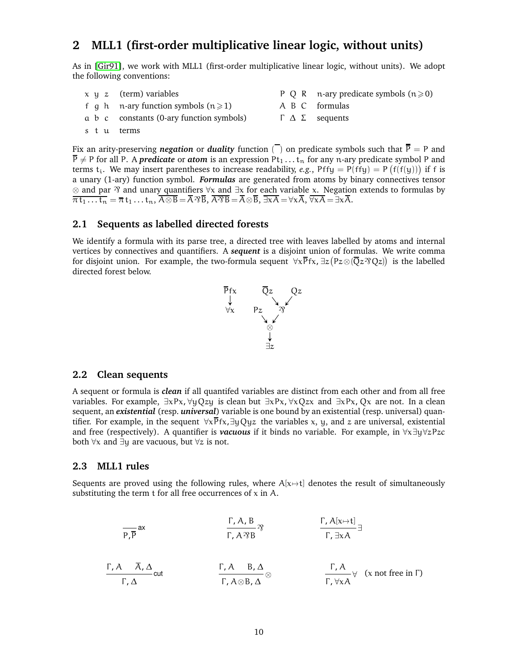# <span id="page-9-0"></span>**2 MLL1 (first-order multiplicative linear logic, without units)**

As in [\[Gir91\]](#page-32-4), we work with MLL1 (first-order multiplicative linear logic, without units). We adopt the following conventions:

|  | $x \, y \, z$ (term) variables                  | P Q R $\pi$ -ary predicate symbols ( $n \ge 0$ ) |
|--|-------------------------------------------------|--------------------------------------------------|
|  | f q h n-ary function symbols $(n \ge 1)$        | A B C formulas                                   |
|  | $\alpha$ b c constants (0-ary function symbols) | $\Gamma$ $\Delta$ $\Sigma$ sequents              |
|  | stu terms                                       |                                                  |

Fix an arity-preserving *negation* or *duality* function  $\overline{(\ )}$  on predicate symbols such that  $\overline{P} = P$  and  $\overline{P} \neq P$  for all P. A *predicate* or *atom* is an expression Pt<sub>1</sub>... t<sub>n</sub> for any n-ary predicate symbol P and terms  $t_i$ . We may insert parentheses to increase readability, *e.g.*, Pffy = P(ffy) = P(f(f(y))) if f is a unary (1-ary) function symbol. *Formulas* are generated from atoms by binary connectives tensor ⊗ and par  $\gamma$  and unary quantifiers  $\forall x$  and  $\exists x$  for each variable x. Negation extends to formulas by  $\overline{\pi \tau_1 \dots \tau_n} = \overline{\pi} \tau_1 \dots \tau_n$ ,  $\overline{A \otimes B} = \overline{A} \otimes \overline{B}$ ,  $\overline{A} \overline{\otimes B} = \overline{A} \otimes \overline{B}$ ,  $\overline{\exists x A} = \forall x \overline{A}$ ,  $\overline{\forall x A} = \exists x \overline{A}$ .

#### <span id="page-9-1"></span>**2.1 Sequents as labelled directed forests**

We identify a formula with its parse tree, a directed tree with leaves labelled by atoms and internal vertices by connectives and quantifiers. A *sequent* is a disjoint union of formulas. We write comma for disjoint union. For example, the two-formula sequent  $\forall x \overline{P}$ fx,  $\exists z (Pz \otimes (\overline{Q}z \otimes Qz))$  is the labelled directed forest below.



### <span id="page-9-2"></span>**2.2 Clean sequents**

A sequent or formula is *clean* if all quantifed variables are distinct from each other and from all free variables. For example,  $\exists xPx, \forall yOzu$  is clean but  $\exists xPx, \forall xOzx$  and  $\exists xPx, Ox$  are not. In a clean sequent, an *existential* (resp. *universal*) variable is one bound by an existential (resp. universal) quantifier. For example, in the sequent  $\forall x \overline{P} f x, \exists y Qyz$  the variables x, y, and z are universal, existential and free (respectively). A quantifier is *vacuous* if it binds no variable. For example, in ∀x∃y∀zPzc both  $\forall x$  and  $\exists y$  are vacuous, but  $\forall z$  is not.

### <span id="page-9-3"></span>**2.3 MLL1 rules**

Sequents are proved using the following rules, where  $A[x\rightarrow t]$  denotes the result of simultaneously substituting the term  $t$  for all free occurrences of  $x$  in  $A$ .

$$
\frac{\Gamma, A, B}{\Gamma, A^3 B} \gamma \qquad \qquad \frac{\Gamma, A[x \mapsto t]}{\Gamma, \exists x A} \exists
$$

$$
\frac{\Gamma, A \quad \overline{A}, \Delta}{\Gamma, \Delta} \text{cut} \qquad \qquad \frac{\Gamma, A \quad B, \Delta}{\Gamma, A \otimes B, \Delta} \otimes \qquad \qquad \frac{\Gamma, A}{\Gamma, \forall x A} \forall \quad (x \text{ not free in } \Gamma)
$$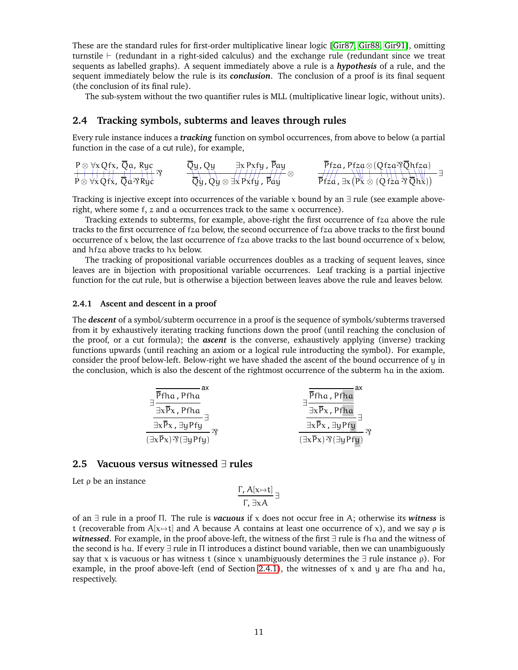These are the standard rules for first-order multiplicative linear logic [\[Gir87,](#page-32-1) [Gir88,](#page-32-3) [Gir91\]](#page-32-4), omitting turnstile ⊢ (redundant in a right-sided calculus) and the exchange rule (redundant since we treat sequents as labelled graphs). A sequent immediately above a rule is a *hypothesis* of a rule, and the sequent immediately below the rule is its *conclusion*. The conclusion of a proof is its final sequent (the conclusion of its final rule).

The sub-system without the two quantifier rules is MLL (multiplicative linear logic, without units).

## <span id="page-10-0"></span>**2.4 Tracking symbols, subterms and leaves through rules**

Every rule instance induces a *tracking* function on symbol occurrences, from above to below (a partial function in the case of a cut rule), for example,

|                                                                                                           |                                                                                                                              | $\overline{P}$ fza, Pfza $\otimes$ (Qfza $\overline{Q}$ hfza)                                                           |
|-----------------------------------------------------------------------------------------------------------|------------------------------------------------------------------------------------------------------------------------------|-------------------------------------------------------------------------------------------------------------------------|
| $P \otimes \forall x Q f x, \overline{Q} a, R y c$<br>$P \otimes \forall x Q f x, \overline{Q} a \Re y c$ | $\overline{Q}y, Qy$ = $\frac{\exists x \Pr{y, \overline{P}ay}}{\overline{Q}y, Qy \otimes \exists x \Pr{fy, \overline{P}ay}}$ | $\overrightarrow{Pfza}$ , $\exists x (\overrightarrow{Px} \otimes (\overrightarrow{Qfza} \otimes \overleftarrow{Qhx}))$ |

Tracking is injective except into occurrences of the variable x bound by an  $\exists$  rule (see example aboveright, where some  $f$ ,  $z$  and  $\alpha$  occurrences track to the same  $x$  occurrence).

Tracking extends to subterms, for example, above-right the first occurrence of fza above the rule tracks to the first occurrence of fza below, the second occurrence of fza above tracks to the first bound occurrence of  $x$  below, the last occurrence of  $fz$  a above tracks to the last bound occurrence of  $x$  below, and hfza above tracks to hx below.

The tracking of propositional variable occurrences doubles as a tracking of sequent leaves, since leaves are in bijection with propositional variable occurrences. Leaf tracking is a partial injective function for the cut rule, but is otherwise a bijection between leaves above the rule and leaves below.

#### <span id="page-10-1"></span>**2.4.1 Ascent and descent in a proof**

The *descent* of a symbol/subterm occurrence in a proof is the sequence of symbols/subterms traversed from it by exhaustively iterating tracking functions down the proof (until reaching the conclusion of the proof, or a cut formula); the *ascent* is the converse, exhaustively applying (inverse) tracking functions upwards (until reaching an axiom or a logical rule introducting the symbol). For example, consider the proof below-left. Below-right we have shaded the ascent of the bound occurrence of y in the conclusion, which is also the descent of the rightmost occurrence of the subterm ha in the axiom.

$$
\frac{\frac{\overline{p}_{fha, Pfha}}{\exists x \overline{p}_x, Pfha}}{\frac{\overline{p}_x \overline{p}_x, Pfha}{\exists x \overline{p}_x, \exists y Pf y} \exists}\n\frac{\frac{\overline{p}_{fha, Pfha}}{\exists x \overline{p}_x, Pfha}}{\frac{\overline{p}_x \overline{p}_x, Pfha}{\exists x \overline{p}_x, \exists y Pf y} \exists}\n\frac{\overline{p}_{fha, Pfha}}{\frac{\overline{p}_x \overline{p}_x, Pfha}{\exists y Pf y} \exists}\n\frac{\overline{p}_x \overline{p}_x}{\overline{p}_x} \frac{\overline{p}_x \overline{p}_x}{\overline{p}_x} \frac{\overline{p}_y \overline{p}_y}{\overline{p}_y} \frac{\overline{p}_y \overline{p}_y}{\overline{p}_y} \frac{\overline{p}_y \overline{p}_y}{\overline{p}_y} \frac{\overline{p}_y \overline{p}_y}{\overline{p}_y} \frac{\overline{p}_y \overline{p}_y}{\overline{p}_y} \frac{\overline{p}_y \overline{p}_y}{\overline{p}_y} \frac{\overline{p}_y \overline{p}_y}{\overline{p}_y} \frac{\overline{p}_y \overline{p}_y}{\overline{p}_y} \frac{\overline{p}_y \overline{p}_y}{\overline{p}_y} \frac{\overline{p}_y \overline{p}_y}{\overline{p}_y} \frac{\overline{p}_y \overline{p}_y}{\overline{p}_y} \frac{\overline{p}_y \overline{p}_y}{\overline{p}_y} \frac{\overline{p}_y \overline{p}_y}{\overline{p}_y} \frac{\overline{p}_y \overline{p}_y}{\overline{p}_y} \frac{\overline{p}_y \overline{p}_y}{\overline{p}_y} \frac{\overline{p}_y \overline{p}_y}{\overline{p}_y} \frac{\overline{p}_y \overline{p}_y}{\overline{p}_y} \frac{\overline{p}_y \overline{p}_y}{\overline{p}_y} \frac{\overline{p}_y \overline{p}_y}{\overline{p}_y} \frac{\overline{p}_y \overline{p}_y}{\overline{p}_y} \frac{\overline{p}_y \overline{
$$

## <span id="page-10-2"></span>**2.5 Vacuous versus witnessed** ∃ **rules**

Let  $ρ$  be an instance

$$
\frac{\Gamma, A[x \mapsto t]}{\Gamma, \exists x A} \exists
$$

of an ∃ rule in a proof Π. The rule is *vacuous* if x does not occur free in A; otherwise its *witness* is t (recoverable from  $A[x\rightarrow t]$  and A because A contains at least one occurrence of x), and we say  $\rho$  is *witnessed*. For example, in the proof above-left, the witness of the first ∃ rule is fha and the witness of the second is ha. If every ∃ rule in Π introduces a distinct bound variable, then we can unambiguously say that x is vacuous or has witness t (since x unambiguously determines the  $\exists$  rule instance  $\rho$ ). For example, in the proof above-left (end of Section [2.4.1\)](#page-10-1), the witnesses of x and y are fha and ha, respectively.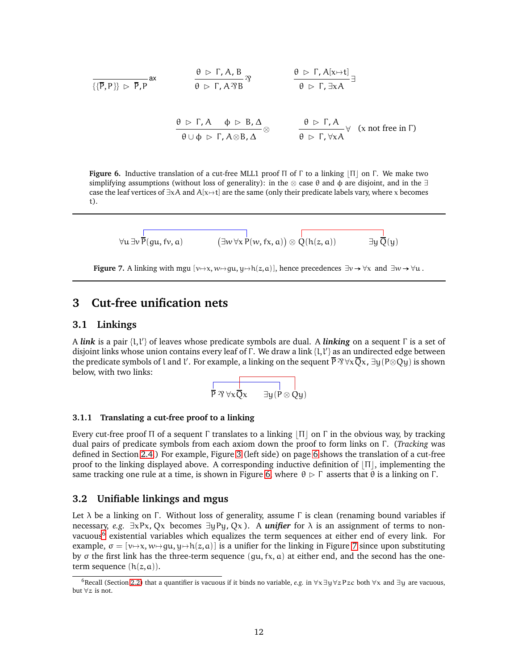<span id="page-11-4"></span>
$$
\frac{\theta \triangleright \Gamma, A, B}{\{\{\overline{P}, P\}\}\triangleright \overline{P}, P} \text{ax} \qquad \frac{\theta \triangleright \Gamma, A, B}{\theta \triangleright \Gamma, A \mathfrak{B} \mathfrak{B}} \mathfrak{B} \qquad \frac{\theta \triangleright \Gamma, A[x \mapsto t]}{\theta \triangleright \Gamma, \exists x A} \exists
$$
\n
$$
\frac{\theta \triangleright \Gamma, A \qquad \phi \triangleright B, \Delta}{\theta \cup \phi \triangleright \Gamma, A \otimes B, \Delta} \otimes \qquad \frac{\theta \triangleright \Gamma, A}{\theta \triangleright \Gamma, \forall x A} \forall \quad (x \text{ not free in } \Gamma)
$$

<span id="page-11-6"></span>**Figure 6.** Inductive translation of a cut-free MLL1 proof Π of Γ to a linking ⌊Π⌋ on Γ. We make two simplifying assumptions (without loss of generality): in the ⊗ case  $\theta$  and  $\phi$  are disjoint, and in the  $\exists$ case the leaf vertices of  $\exists x A$  and  $A[x\mapsto t]$  are the same (only their predicate labels vary, where x becomes t).

$$
\forall u \exists v \overline{P(gu,fv,a)} \qquad \qquad (\exists w \forall x P(w,fx,a)) \otimes \overline{Q(h(z,a))} \qquad \qquad \exists y \overline{Q}(y)
$$

**Figure 7.** A linking with mgu  $[v \mapsto x, w \mapsto qu, u \mapsto h(z, a)]$ , hence precedences  $\exists v \rightarrow \forall x$  and  $\exists w \rightarrow \forall u$ .

## <span id="page-11-1"></span><span id="page-11-0"></span>**3 Cut-free unification nets**

#### **3.1 Linkings**

A *link* is a pair {l,l'} of leaves whose predicate symbols are dual. A *linking* on a sequent Γ is a set of disjoint links whose union contains every leaf of  $\bar{\Gamma}$ . We draw a link  $\{l,l'\}$  as an undirected edge between the predicate symbols of l and l'. For example, a linking on the sequent  $\overline{P} \mathcal{B} \forall x \overline{Q} x$ ,  $\exists y (P \otimes Qy)$  is shown below, with two links:

$$
\overline{P \boxtimes \forall x \overline{Q} x \qquad \exists y (P \otimes Qy)}
$$

#### <span id="page-11-2"></span>**3.1.1 Translating a cut-free proof to a linking**

Every cut-free proof Π of a sequent Γ translates to a linking  $|Π|$  on Γ in the obvious way, by tracking dual pairs of predicate symbols from each axiom down the proof to form links on Γ . (*Tracking* was defined in Section [2.4.](#page-10-0)) For example, Figure [3](#page-5-1) (left side) on page [6](#page-5-1) shows the translation of a cut-free proof to the linking displayed above. A corresponding inductive definition of  $|\Pi|$ , implementing the same tracking one rule at a time, is shown in Figure [6,](#page-11-4) where  $\theta \triangleright \Gamma$  asserts that  $\theta$  is a linking on  $\Gamma$ .

### <span id="page-11-3"></span>**3.2 Unifiable linkings and mgus**

Let  $\lambda$  be a linking on Γ. Without loss of generality, assume Γ is clean (renaming bound variables if necessary, *e.g.*  $\exists x Px$ , Qx becomes  $\exists y Py$ , Qx). A *unifier* for  $\lambda$  is an assignment of terms to non-vacuous<sup>[6](#page-11-5)</sup> existential variables which equalizes the term sequences at either end of every link. For example,  $\sigma = [\nu \rightarrow x, \nu \rightarrow \gamma \mu, \gamma \rightarrow \gamma \mu, \gamma \rightarrow \gamma \mu]$  is a unifier for the linking in Figure [7](#page-11-6) since upon substituting by  $\sigma$  the first link has the three-term sequence (qu, fx, a) at either end, and the second has the oneterm sequence  $(h(z, a))$ .

<span id="page-11-5"></span><sup>6</sup>Recall (Section [2.2\)](#page-9-2) that a quantifier is vacuous if it binds no variable, *e.g.* in ∀x∃y∀zPzc both ∀x and ∃y are vacuous, but ∀z is not.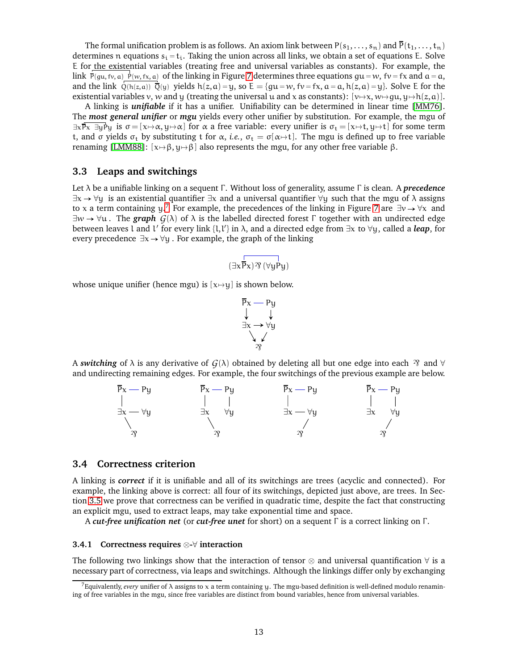The formal unification problem is as follows. An axiom link between  $P(s_1, \ldots, s_n)$  and  $\overline{P}(t_1, \ldots, t_n)$ determines n equations  $s_i = t_i$ . Taking the union across all links, we obtain a set of equations E. Solve E for the existential variables (treating free and universal variables as constants). For example, the link  $\bar{P}(gu, fv, a)$   $\dot{P}(w, fx, a)$  of the linking in Figure [7](#page-11-6) determines three equations  $gu = w$ ,  $fv = fx$  and  $a = a$ , and the link  $\overline{Q(h(z,a))}$   $\overline{Q}(y)$  yields  $h(z,a) = y$ , so  $E = \{qu = w, fv = fx, a = a, h(z,a) = y\}$ . Solve E for the existential variables v, w and y (treating the universal u and x as constants):  $[v\mapsto x, w\mapsto qu, y\mapsto h(z, a)]$ .

A linking is *unifiable* if it has a unifier. Unifiability can be determined in linear time [\[MM76\]](#page-33-6). The *most general unifier* or *mgu* yields every other unifier by substitution. For example, the mgu of  $\exists x \overline{P}x \exists y P_y$  is  $\sigma = [x \mapsto \alpha, y \mapsto \alpha]$  for  $\alpha$  a free variable: every unifier is  $\sigma_t = [x \mapsto t, y \mapsto t]$  for some term t, and  $\sigma$  yields  $\sigma_t$  by substituting t for  $\alpha$ , *i.e.*,  $\sigma_t = \sigma[\alpha \rightarrow t]$ . The mgu is defined up to free variable renaming [\[LMM88\]](#page-33-17): [ $x \mapsto \beta$ ,  $y \mapsto \beta$ ] also represents the mgu, for any other free variable β.

## <span id="page-12-0"></span>**3.3 Leaps and switchings**

Let λ be a unifiable linking on a sequent Γ . Without loss of generality, assume Γ is clean. A *precedence*  $\exists x \rightarrow \forall y$  is an existential quantifier  $\exists x$  and a universal quantifier  $\forall y$  such that the mgu of  $\lambda$  assigns to x a term containing y.<sup>[7](#page-12-3)</sup> For example, the precedences of the linking in Figure [7](#page-11-6) are  $\exists v \rightarrow \forall x$  and  $\exists w \rightarrow \forall u$ . The *graph*  $G(\lambda)$  of  $\lambda$  is the labelled directed forest Γ together with an undirected edge between leaves l and l ′ for every link {l,l ′ } in λ, and a directed edge from ∃x to ∀y, called a *leap*, for every precedence  $\exists x \rightarrow \forall y$ . For example, the graph of the linking

$$
(\exists x \overline{P} x) \mathfrak{N}\,(\forall y P y)
$$

whose unique unifier (hence mgu) is  $[x \mapsto y]$  is shown below.



A *switching* of  $\lambda$  is any derivative of  $G(\lambda)$  obtained by deleting all but one edge into each  $\mathcal{R}$  and  $\forall$ and undirecting remaining edges. For example, the four switchings of the previous example are below.



#### <span id="page-12-1"></span>**3.4 Correctness criterion**

A linking is *correct* if it is unifiable and all of its switchings are trees (acyclic and connected). For example, the linking above is correct: all four of its switchings, depicted just above, are trees. In Section [3.5](#page-13-0) we prove that correctness can be verified in quadratic time, despite the fact that constructing an explicit mgu, used to extract leaps, may take exponential time and space.

A *cut-free unification net* (or *cut-free unet* for short) on a sequent Γ is a correct linking on Γ .

#### <span id="page-12-2"></span>**3.4.1 Correctness requires** ⊗**-**∀ **interaction**

The following two linkings show that the interaction of tensor  $\otimes$  and universal quantification  $\forall$  is a necessary part of correctness, via leaps and switchings. Although the linkings differ only by exchanging

<span id="page-12-3"></span><sup>7</sup>Equivalently, *every* unifier of λ assigns to x a term containing y. The mgu-based definition is well-defined modulo renamining of free variables in the mgu, since free variables are distinct from bound variables, hence from universal variables.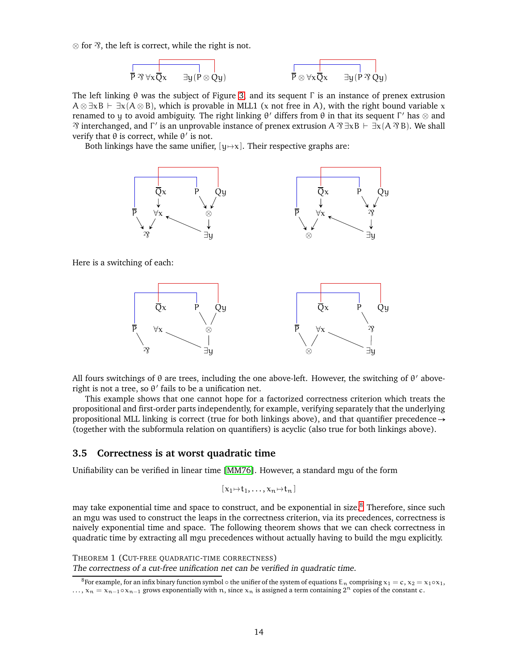$\otimes$  for  $\mathfrak{B}$ , the left is correct, while the right is not.

$$
\overline{P \otimes \forall x \overline{Q} x \qquad \exists y (P \otimes Qy)} \qquad \qquad \overline{P \otimes \forall x \overline{Q} x \qquad \exists y (P \otimes Qy)}
$$

The left linking  $\theta$  was the subject of Figure [3,](#page-5-1) and its sequent  $\Gamma$  is an instance of prenex extrusion  $A \otimes \exists x B \vdash \exists x (A \otimes B)$ , which is provable in MLL1 (x not free in A), with the right bound variable x renamed to y to avoid ambiguity. The right linking  $\theta'$  differs from  $\theta$  in that its sequent  $\Gamma'$  has  $\otimes$  and  $\gamma$  interchanged, and Γ' is an unprovable instance of prenex extrusion A  $\gamma \exists xB \vdash \exists x(A \gamma B)$ . We shall verify that  $\theta$  is correct, while  $\theta'$  is not.

Both linkings have the same unifier,  $[y \mapsto x]$ . Their respective graphs are:



Here is a switching of each:



All fours switchings of θ are trees, including the one above-left. However, the switching of θ ′ aboveright is not a tree, so  $\theta'$  fails to be a unification net.

This example shows that one cannot hope for a factorized correctness criterion which treats the propositional and first-order parts independently, for example, verifying separately that the underlying propositional MLL linking is correct (true for both linkings above), and that quantifier precedence  $\rightarrow$ (together with the subformula relation on quantifiers) is acyclic (also true for both linkings above).

### <span id="page-13-0"></span>**3.5 Correctness is at worst quadratic time**

Unifiability can be verified in linear time [\[MM76\]](#page-33-6). However, a standard mgu of the form

<span id="page-13-1"></span>
$$
[\mathbf{x}_1\!\mapsto\! t_1,\ldots,\mathbf{x}_n\!\mapsto\! t_n]
$$

may take exponential time and space to construct, and be exponential in size.<sup>[8](#page-13-2)</sup> Therefore, since such an mgu was used to construct the leaps in the correctness criterion, via its precedences, correctness is naively exponential time and space. The following theorem shows that we can check correctness in quadratic time by extracting all mgu precedences without actually having to build the mgu explicitly.

THEOREM 1 (CUT-FREE QUADRATIC-TIME CORRECTNESS) The correctness of <sup>a</sup> cut-free unification net can be verified in quadratic time.

<span id="page-13-2"></span><sup>&</sup>lt;sup>8</sup>For example, for an infix binary function symbol  $\circ$  the unifier of the system of equations  $E_n$  comprising  $x_1 = c$ ,  $x_2 = x_1 \circ x_1$ , ...,  $x_n = x_{n-1} \circ x_{n-1}$  grows exponentially with n, since  $x_n$  is assigned a term containing  $2^n$  copies of the constant c.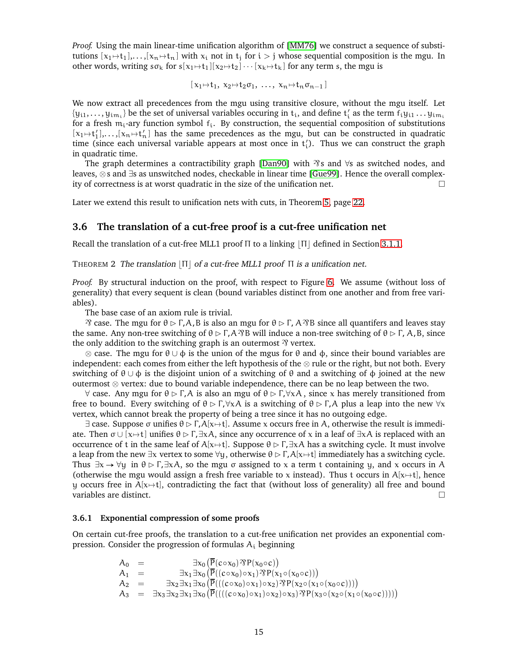*Proof.* Using the main linear-time unification algorithm of [\[MM76\]](#page-33-6) we construct a sequence of substitutions  $[x_1 \mapsto t_1],..., [x_n \mapsto t_n]$  with  $x_i$  not in  $t_i$  for  $i > j$  whose sequential composition is the mgu. In other words, writing  $s\sigma_k$  for  $s[x_1 \mapsto t_1][x_2 \mapsto t_2] \cdots [x_k \mapsto t_k]$  for any term s, the mgu is

$$
[\,x_1\hskip-2pt\mapsto\hskip-2pt t_1,\;x_2\hskip-2pt\mapsto\hskip-2pt t_2\sigma_1,\;\ldots,\;x_n\hskip-2pt\mapsto\hskip-2pt t_n\sigma_{n-1}\,]
$$

We now extract all precedences from the mgu using transitive closure, without the mgu itself. Let  $\{y_{i1},...,y_{i m_i}\}$  be the set of universal variables occuring in  $t_i$ , and define  $t'_i$  as the term  $f_iy_{i1}...y_{i m_i}$ for a fresh  $m_i$ -ary function symbol  $f_i$ . By construction, the sequential composition of substitutions  $[x_1 \mapsto t'_1], \ldots, [x_n \mapsto t'_n]$  has the same precedences as the mgu, but can be constructed in quadratic time (since each universal variable appears at most once in  $t'_i$ ). Thus we can construct the graph in quadratic time.

The graph determines a contractibility graph [\[Dan90\]](#page-32-10) with  $\gamma$ s and  $\forall s$  as switched nodes, and leaves, ⊗s and ∃s as unswitched nodes, checkable in linear time [\[Gue99\]](#page-33-16). Hence the overall complexity of correctness is at worst quadratic in the size of the unification net.

Later we extend this result to unification nets with cuts, in Theorem [5,](#page-21-1) page [22.](#page-21-1)

### <span id="page-14-0"></span>**3.6 The translation of a cut-free proof is a cut-free unification net**

Recall the translation of a cut-free MLL1 proof  $\Pi$  to a linking  $|\Pi|$  defined in Section [3.1.1.](#page-11-2)

#### THEOREM 2 The translation  $|\Pi|$  of a cut-free MLL1 proof  $\Pi$  is a unification net.

*Proof.* By structural induction on the proof, with respect to Figure [6.](#page-11-4) We assume (without loss of generality) that every sequent is clean (bound variables distinct from one another and from free variables).

The base case of an axiom rule is trivial.

 $\Im$  case. The mgu for  $\theta \triangleright \Gamma$ , A, B is also an mgu for  $\theta \triangleright \Gamma$ , A $\Im$ B since all quantifers and leaves stay the same. Any non-tree switching of  $\theta \triangleright \Gamma$ , A $\hat{\gamma}$ B will induce a non-tree switching of  $\theta \triangleright \Gamma$ , A, B, since the only addition to the switching graph is an outermost  $\mathcal{V}$  vertex.

 $\otimes$  case. The mgu for  $\theta \cup \phi$  is the union of the mgus for  $\theta$  and  $\phi$ , since their bound variables are independent: each comes from either the left hypothesis of the  $\otimes$  rule or the right, but not both. Every switching of  $\theta \cup \phi$  is the disjoint union of a switching of  $\theta$  and a switching of  $\phi$  joined at the new outermost ⊗ vertex: due to bound variable independence, there can be no leap between the two.

 $\forall$  case. Any mgu for  $\theta \rhd \Gamma$ , A is also an mgu of  $\theta \rhd \Gamma$ ,  $\forall xA$ , since x has merely transitioned from free to bound. Every switching of  $\theta \rhd \Gamma, \forall x \lambda$  is a switching of  $\theta \rhd \Gamma, \lambda$  plus a leap into the new  $\forall x$ vertex, which cannot break the property of being a tree since it has no outgoing edge.

 $\exists$  case. Suppose σ unifies  $\theta \rhd \Gamma$ ,  $A[x \mapsto t]$ . Assume x occurs free in A, otherwise the result is immediate. Then  $\sigma$  ∪ [x→t] unifies  $\theta$  ⊳ Γ,∃xA, since any occurrence of x in a leaf of  $\exists$ xA is replaced with an occurrence of t in the same leaf of A[x→t]. Suppose  $\theta \triangleright \Gamma$ ,  $\exists xA$  has a switching cycle. It must involve a leap from the new  $\exists x$  vertex to some  $\forall y$ , otherwise  $\theta \triangleright \Gamma$ ,  $A[x \mapsto t]$  immediately has a switching cycle. Thus  $\exists x \rightarrow \forall y$  in  $\theta \triangleright \Gamma$ , $\exists x \lambda$ , so the mgu  $\sigma$  assigned to x a term t containing y, and x occurs in A (otherwise the mgu would assign a fresh free variable to x instead). Thus t occurs in  $A[x\rightarrow t]$ , hence y occurs free in  $A[x\rightarrow t]$ , contradicting the fact that (without loss of generality) all free and bound variables are distinct.

#### <span id="page-14-1"></span>**3.6.1 Exponential compression of some proofs**

On certain cut-free proofs, the translation to a cut-free unification net provides an exponential compression. Consider the progression of formulas  $A_i$  beginning

$$
\begin{array}{rcl} A_0 & = & \exists x_0 \left( \overline{P}(c \circ x_0) \mathfrak{R} P(x_0 \circ c) \right) \\ A_1 & = & \exists x_1 \exists x_0 \left( \overline{P}((c \circ x_0) \circ x_1) \mathfrak{R} P(x_1 \circ (x_0 \circ c)) \right) \\ A_2 & = & \exists x_2 \exists x_1 \exists x_0 \left( \overline{P}(((c \circ x_0) \circ x_1) \circ x_2) \mathfrak{R} P(x_2 \circ (x_1 \circ (x_0 \circ c))) \right) \\ A_3 & = & \exists x_3 \exists x_2 \exists x_1 \exists x_0 \left( \overline{P}(((c \circ x_0) \circ x_1) \circ x_2) \circ x_3) \mathfrak{R} P(x_3 \circ (x_2 \circ (x_1 \circ (x_0 \circ c)))) \right) \end{array}
$$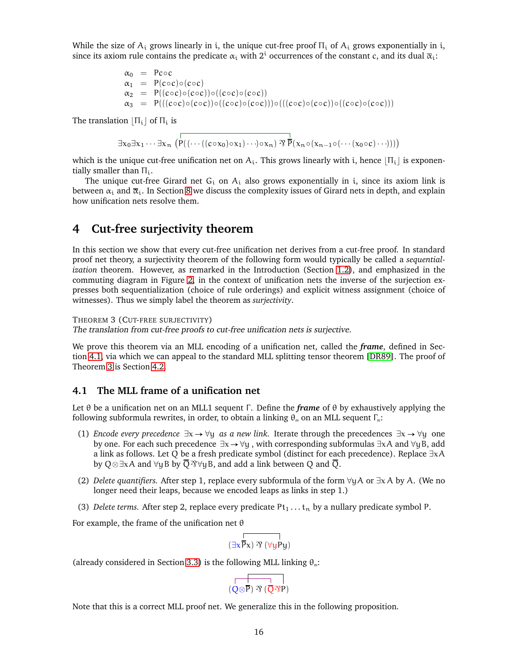While the size of  $A_i$  grows linearly in i, the unique cut-free proof  $\Pi_i$  of  $A_i$  grows exponentially in i, since its axiom rule contains the predicate  $\alpha_i$  with  $2^i$  occurrences of the constant c, and its dual  $\bar{\alpha}_i$ :

$$
\alpha_0 = \text{Pcoc}
$$
\n
$$
\alpha_1 = \text{P}(c \circ c) \circ (c \circ c)
$$
\n
$$
\alpha_2 = \text{P}((c \circ c) \circ (c \circ c)) \circ ((c \circ c) \circ (c \circ c))
$$
\n
$$
\alpha_3 = \text{P}(((c \circ c) \circ (c \circ c)) \circ ((c \circ c) \circ (c \circ c)) \circ (((c \circ c) \circ (c \circ c) \circ ((c \circ c) \circ (c \circ c)))
$$

The translation  $|\Pi_i|$  of  $\Pi_i$  is

 $\exists x_0 \exists x_1 \cdots \exists x_n \left( \stackrel{\leftarrow}{P}((\cdots((c \circ x_0) \circ x_1) \cdots) \circ x_n) \stackrel{\leftarrow}{\gamma} \stackrel{\leftarrow}{P}(x_n \circ (x_{n-1} \circ (\cdots (x_0 \circ c) \cdots)))\right)$ 

which is the unique cut-free unification net on  $A_i$ . This grows linearly with i, hence  $|\Pi_i|$  is exponentially smaller than  $\Pi_i$ .

The unique cut-free Girard net  $G_i$  on  $A_i$  also grows exponentially in i, since its axiom link is between  $\alpha_i$  and  $\overline{\alpha}_i$ . In Section [8](#page-25-1) we discuss the complexity issues of Girard nets in depth, and explain how unification nets resolve them.

## <span id="page-15-0"></span>**4 Cut-free surjectivity theorem**

In this section we show that every cut-free unification net derives from a cut-free proof. In standard proof net theory, a surjectivity theorem of the following form would typically be called a *sequentialization* theorem. However, as remarked in the Introduction (Section [1.2\)](#page-2-1), and emphasized in the commuting diagram in Figure [2,](#page-3-0) in the context of unification nets the inverse of the surjection expresses both sequentialization (choice of rule orderings) and explicit witness assignment (choice of witnesses). Thus we simply label the theorem as *surjectivity*.

#### <span id="page-15-2"></span>THEOREM 3 (CUT-FREE SURJECTIVITY)

The translation from cut-free proofs to cut-free unification nets is surjective.

We prove this theorem via an MLL encoding of a unification net, called the *frame*, defined in Section [4.1,](#page-15-1) via which we can appeal to the standard MLL splitting tensor theorem [\[DR89\]](#page-32-2). The proof of Theorem [3](#page-15-2) is Section [4.2.](#page-16-0)

## <span id="page-15-1"></span>**4.1 The MLL frame of a unification net**

Let θ be a unification net on an MLL1 sequent Γ . Define the *frame* of θ by exhaustively applying the following subformula rewrites, in order, to obtain a linking  $\theta_m$  on an MLL sequent  $\Gamma_m$ :

- (1) *Encode every precedence*  $\exists x \rightarrow \forall y$  *as a new link*. Iterate through the precedences  $\exists x \rightarrow \forall y$  one by one. For each such precedence  $\exists x \rightarrow \forall y$ , with corresponding subformulas  $\exists x A$  and  $\forall y B$ , add a link as follows. Let Q be a fresh predicate symbol (distinct for each precedence). Replace ∃xA by Q⊗∃xA and  $\forall y$ B by  $\overline{Q}$   $\Re$  $\forall y$ B, and add a link between Q and  $\overline{Q}$ .
- (2) *Delete quantifiers.* After step 1, replace every subformula of the form ∀yA or ∃x A by A. (We no longer need their leaps, because we encoded leaps as links in step 1.)
- (3) *Delete terms.* After step 2, replace every predicate  $Pt_1 \ldots t_n$  by a nullary predicate symbol P.

For example, the frame of the unification net  $\theta$ 

$$
\overset{\text{d}}{\underset{\text{d}}{\exists x}}\overset{\text{d}}{\overline{P}}_{x})\,\mathfrak{B}\left(\forall yP y\right)
$$

(already considered in Section [3.3\)](#page-12-0) is the following MLL linking  $\theta_m$ :

<span id="page-15-3"></span>
$$
\overline{\left(\overline{Q \otimes P} \right) \mathcal{V} \left(\overline{Q} \mathcal{V} P \right) }
$$

Note that this is a correct MLL proof net. We generalize this in the following proposition.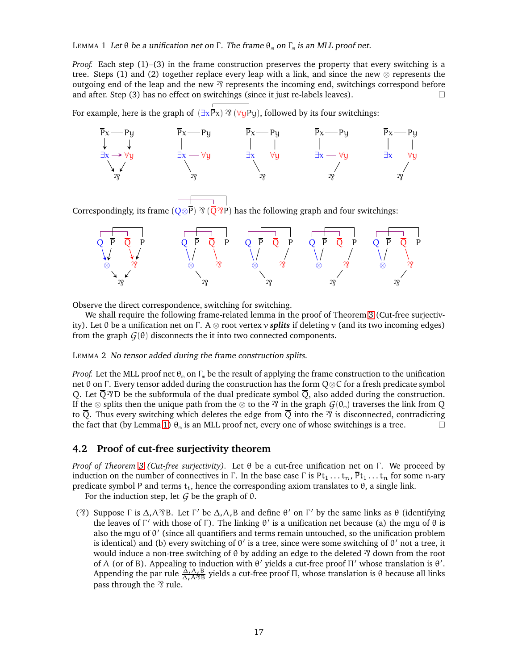LEMMA 1 Let θ be a unification net on Γ. The frame  $\theta_m$  on Γ<sub>m</sub> is an MLL proof net.

*Proof.* Each step (1)–(3) in the frame construction preserves the property that every switching is a tree. Steps (1) and (2) together replace every leap with a link, and since the new  $\otimes$  represents the outgoing end of the leap and the new  $\gamma$  represents the incoming end, switchings correspond before and after. Step (3) has no effect on switchings (since it just re-labels leaves).  $\Box$ 

For example, here is the graph of  $(\exists x \vec{P}x)$   $\mathcal{R}$  ( $\forall y \vec{P}y$ ), followed by its four switchings:



Correspondingly, its frame  $\left(\sqrt{\mathcal{O}^2P}\right)$  as the following graph and four switchings:



Observe the direct correspondence, switching for switching.

<span id="page-16-1"></span>We shall require the following frame-related lemma in the proof of Theorem [3](#page-15-2) (Cut-free surjectivity). Let θ be a unification net on Γ. A  $\otimes$  root vertex v *splits* if deleting v (and its two incoming edges) from the graph  $G(\theta)$  disconnects the it into two connected components.

#### LEMMA 2 No tensor added during the frame construction splits.

*Proof.* Let the MLL proof net  $\theta_m$  on  $\Gamma_m$  be the result of applying the frame construction to the unification net θ on Γ. Every tensor added during the construction has the form  $Q \otimes C$  for a fresh predicate symbol Q. Let  $\overline{Q}$   $\overline{Q}$  be the subformula of the dual predicate symbol  $\overline{Q}$ , also added during the construction. If the ⊗ splits then the unique path from the ⊗ to the  $\mathfrak{B}$  in the graph  $G(\theta_m)$  traverses the link from Q to  $\overline{Q}$ . Thus every switching which deletes the edge from  $\overline{Q}$  into the  $\overline{\gamma}$  is disconnected, contradicting the fact that (by Lemma [1\)](#page-15-3)  $\theta_m$  is an MLL proof net, every one of whose switchings is a tree.

## <span id="page-16-0"></span>**4.2 Proof of cut-free surjectivity theorem**

*Proof of Theorem [3](#page-15-2) (Cut-free surjectivity).* Let θ be a cut-free unification net on Γ . We proceed by induction on the number of connectives in Γ. In the base case Γ is Pt<sub>1</sub> . . . t<sub>n</sub>,  $\bar{P}t_1$  . . . t<sub>n</sub> for some n-ary predicate symbol P and terms  $t_i$ , hence the corresponding axiom translates to  $\theta$ , a single link.

For the induction step, let  $G$  be the graph of  $\theta$ .

( $\gamma$ ) Suppose Γ is Δ,A $\gamma$ B. Let Γ' be Δ,A,B and define θ' on Γ' by the same links as θ (identifying the leaves of Γ' with those of Γ). The linking  $\theta'$  is a unification net because (a) the mgu of  $\theta$  is also the mgu of θ' (since all quantifiers and terms remain untouched, so the unification problem is identical) and (b) every switching of  $\theta'$  is a tree, since were some switching of  $\theta'$  not a tree, it would induce a non-tree switching of θ by adding an edge to the deleted  $\frac{1}{2}$  down from the root of A (or of B). Appealing to induction with  $\theta'$  yields a cut-free proof  $\Pi'$  whose translation is  $\theta'$ . Appending the par rule  $\frac{\overline{\Delta}A}{\Delta}$ ,  $\frac{\overline{B}}{\Delta}$  yields a cut-free proof Π, whose translation is θ because all links pass through the  $\gamma$  rule.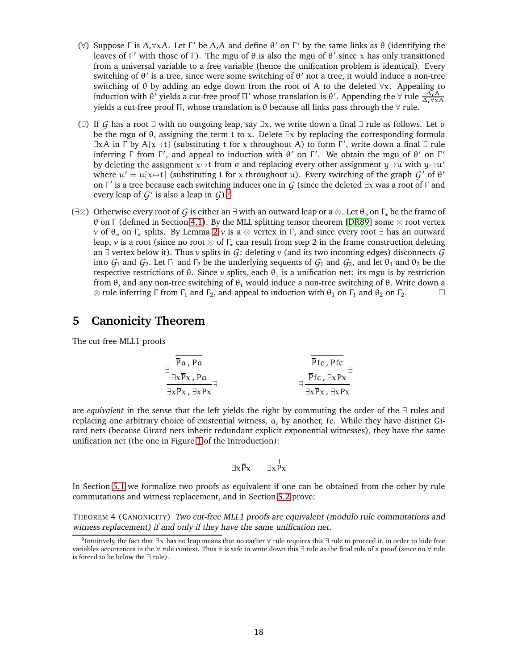- (∀) Suppose Γ is Δ, ∀x A. Let Γ' be Δ, A and define  $θ'$  on Γ' by the same links as  $θ$  (identifying the leaves of Γ' with those of Γ). The mgu of  $θ$  is also the mgu of  $θ'$  since x has only transitioned from a universal variable to a free variable (hence the unification problem is identical). Every switching of  $\theta'$  is a tree, since were some switching of  $\theta'$  not a tree, it would induce a non-tree switching of  $\theta$  by adding an edge down from the root of A to the deleted  $\forall x$ . Appealing to induction with θ' yields a cut-free proof Π' whose translation is θ'. Appending the  $\forall$  rule  $\frac{\Delta_t A}{\Delta_t \forall x A}$ yields a cut-free proof Π, whose translation is θ because all links pass through the ∀ rule.
- (∃) If *G* has a root ∃ with no outgoing leap, say ∃x, we write down a final ∃ rule as follows. Let σ be the mgu of  $\theta$ , assigning the term t to x. Delete  $\exists x$  by replacing the corresponding formula  $\exists x A$  in  $\Gamma$  by  $A[x \mapsto t]$  (substituting t for x throughout A) to form  $\Gamma'$ , write down a final  $\exists$  rule inferring  $\Gamma$  from  $\Gamma'$ , and appeal to induction with  $\theta'$  on  $\Gamma'$ . We obtain the mgu of  $\theta'$  on  $\Gamma'$ by deleting the assignment  $x \mapsto t$  from  $\sigma$  and replacing every other assignment  $y \mapsto u$  with  $y \mapsto u'$ where  $u' = u[x \mapsto t]$  (substituting t for x throughout u). Every switching of the graph  $\mathcal{G}'$  of  $\theta'$ on Γ ′ is a tree because each switching induces one in *G* (since the deleted ∃x was a root of Γ and every leap of *G*′ is also a leap in *G*).[9](#page-17-2)
- (∃⊗) Otherwise every root of *G* is either an ∃ with an outward leap or a ⊗. Let  $\theta_m$  on  $\Gamma_m$  be the frame of θ on Γ (defined in Section [4.1\)](#page-15-1). By the MLL splitting tensor theorem [\[DR89\]](#page-32-2) some ⊗ root vertex  $ν$  of  $θ$ <sub>m</sub> on Γ<sub>m</sub> splits. By Lemma [2](#page-16-1)  $ν$  is a ⊗ vertex in Γ, and since every root  $\exists$  has an outward leap, v is a root (since no root  $\otimes$  of  $\Gamma_m$  can result from step 2 in the frame construction deleting an ∃ vertex below it). Thus v splits in *G*: deleting v (and its two incoming edges) disconnects *G* into  $G_1$  and  $G_2$ . Let  $\Gamma_1$  and  $\Gamma_2$  be the underlying sequents of  $G_1$  and  $G_2$ , and let  $\theta_1$  and  $\theta_2$  be the respective restrictions of  $\theta$ . Since v splits, each  $\theta_i$  is a unification net: its mgu is by restriction from θ, and any non-tree switching of  $θ_i$  would induce a non-tree switching of  $θ$ . Write down a  $\otimes$  rule inferring  $\Gamma$  from  $\Gamma_1$  and  $\Gamma_2$ , and appeal to induction with  $\theta_1$  on  $\Gamma_1$  and  $\theta_2$  on  $\Gamma_2$ .

## <span id="page-17-0"></span>**5 Canonicity Theorem**

The cut-free MLL1 proofs

$$
\frac{\frac{1}{\overline{P}a, Pa}}{\frac{1}{\exists x \overline{P}x, \exists x Px}}\n\frac{\frac{1}{\overline{P}fc, Pfc}}{\frac{1}{\overline{P}fc, \exists x Px}}\n\frac{\frac{1}{\overline{P}fc, Pfc}}{\frac{1}{\exists x \overline{P}x, \exists x Px}}\n\frac{1}{\overline{P}fc, \exists x Px}
$$

are *equivalent* in the sense that the left yields the right by commuting the order of the ∃ rules and replacing one arbitrary choice of existential witness, a, by another, fc. While they have distinct Girard nets (because Girard nets inherit redundant explicit exponential witnesses), they have the same unification net (the one in Figure [1](#page-2-2) of the Introduction):

<span id="page-17-1"></span>
$$
\exists x \overline{P_X \qquad \exists x P x}
$$

In Section [5.1](#page-18-0) we formalize two proofs as equivalent if one can be obtained from the other by rule commutations and witness replacement, and in Section [5.2](#page-18-3) prove:

THEOREM 4 (CANONICITY) Two cut-free MLL1 proofs are equivalent (modulo rule commutations and witness replacement) if and only if they have the same unification net.

<span id="page-17-2"></span><sup>&</sup>lt;sup>9</sup>Intuitively, the fact that ∃x has no leap means that no earlier ∀ rule requires this ∃ rule to proceed it, in order to hide free variables occurrences in the ∀ rule context. Thus it is safe to write down this ∃ rule as the final rule of a proof (since no ∀ rule is forced to be below the ∃ rule).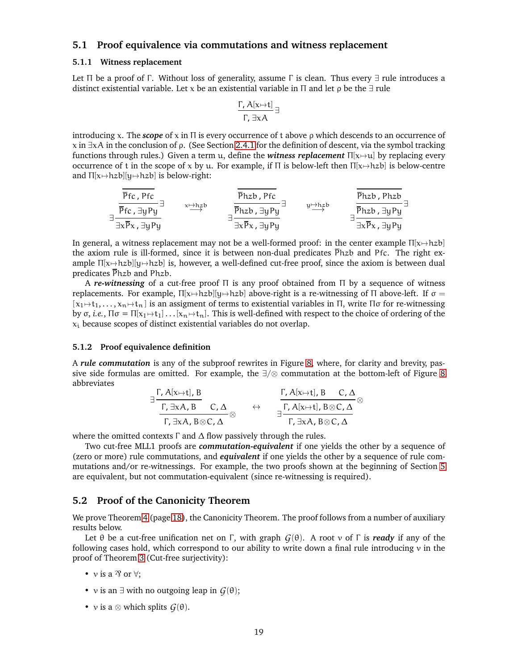## <span id="page-18-1"></span><span id="page-18-0"></span>**5.1 Proof equivalence via commutations and witness replacement**

#### **5.1.1 Witness replacement**

Let Π be a proof of Γ. Without loss of generality, assume Γ is clean. Thus every  $\exists$  rule introduces a distinct existential variable. Let x be an existential variable in  $\Pi$  and let  $\rho$  be the  $\exists$  rule

$$
\frac{\Gamma, A[x \mapsto t]}{\Gamma, \exists x A} \exists
$$

introducing x. The *scope* of x in Π is every occurrence of t above ρ which descends to an occurrence of  $x$  in  $\exists x \lambda$  in the conclusion of ρ. (See Section [2.4.1](#page-10-1) for the definition of descent, via the symbol tracking functions through rules.) Given a term u, define the *witness replacement*  $\Pi[x\mapsto u]$  by replacing every occurrence of t in the scope of x by u. For example, if  $\Pi$  is below-left then  $\Pi[x\mapsto hzb]$  is below-centre and  $\Pi[x \mapsto hzb][y \mapsto hzb]$  is below-right:

$$
\frac{\frac{\overline{p}_{fc}}{\overline{p}_{fc}}}{\frac{\overline{p}_{fc}}{\exists y P_{y}}}\exists \text{ x} \overline{p}_{xc, \exists y P_{y}} \overline{p}_{tx} \overline{p}_{tx} \overline{p}_{tx} \overline{p}_{tx} \overline{p}_{ty} \overline{p}_{ty} \overline{p}_{tx} \overline{p}_{tx} \overline{p}_{tx} \overline{p}_{tx} \overline{p}_{tx} \overline{p}_{tx} \overline{p}_{tx} \overline{p}_{tx} \overline{p}_{tx} \overline{p}_{tx} \overline{p}_{tx} \overline{p}_{ty}
$$

In general, a witness replacement may not be a well-formed proof: in the center example  $\Pi[x\mapsto hzb]$ the axiom rule is ill-formed, since it is between non-dual predicates  $\overline{P}$ hzb and Pfc. The right example  $\Pi[x\rightarrow hzb][y\rightarrow hzb]$  is, however, a well-defined cut-free proof, since the axiom is between dual predicates Phzb and Phzb.

A *re-witnessing* of a cut-free proof Π is any proof obtained from Π by a sequence of witness replacements. For example,  $\Pi[x\mapsto hzb][y\mapsto hzb]$  above-right is a re-witnessing of  $\Pi$  above-left. If  $\sigma =$  $[x_1 \rightarrow t_1, \ldots, x_n \rightarrow t_n]$  is an assigment of terms to existential variables in Π, write Πσ for re-witnessing by  $\sigma$ , *i.e.*,  $\Pi \sigma = \Pi[x_1 \mapsto t_1] \dots [x_n \mapsto t_n]$ . This is well-defined with respect to the choice of ordering of the  $x_i$  because scopes of distinct existential variables do not overlap.

#### <span id="page-18-2"></span>**5.1.2 Proof equivalence definition**

A *rule commutation* is any of the subproof rewrites in Figure [8,](#page-19-0) where, for clarity and brevity, passive side formulas are omitted. For example, the ∃/⊗ commutation at the bottom-left of Figure [8](#page-19-0) abbreviates

$$
\exists \frac{\Gamma, A[x \mapsto t], B}{\Gamma, \exists x A, B \otimes C, \Delta} \quad \leftrightarrow \quad \frac{\Gamma, A[x \mapsto t], B \quad C, \Delta}{\exists \Gamma, \exists x A, B \otimes C, \Delta} \otimes \exists \frac{\Gamma, A[x \mapsto t], B \otimes C, \Delta}{\Gamma, \exists x A, B \otimes C, \Delta}
$$

where the omitted contexts  $\Gamma$  and  $\Delta$  flow passively through the rules.

Two cut-free MLL1 proofs are *commutation-equivalent* if one yields the other by a sequence of (zero or more) rule commutations, and *equivalent* if one yields the other by a sequence of rule commutations and/or re-witnessings. For example, the two proofs shown at the beginning of Section [5](#page-17-0) are equivalent, but not commutation-equivalent (since re-witnessing is required).

### <span id="page-18-3"></span>**5.2 Proof of the Canonicity Theorem**

We prove Theorem [4](#page-17-1) (page [18\)](#page-17-1), the Canonicity Theorem. The proof follows from a number of auxiliary results below.

Let  $\theta$  be a cut-free unification net on Γ, with graph  $G(\theta)$ . A root v of Γ is *ready* if any of the following cases hold, which correspond to our ability to write down a final rule introducing  $\nu$  in the proof of Theorem [3](#page-15-2) (Cut-free surjectivity):

- v is a  $\mathcal{R}$  or  $\forall$ :
- v is an  $\exists$  with no outgoing leap in  $G(\theta)$ ;
- v is a  $\otimes$  which splits  $G(\theta)$ .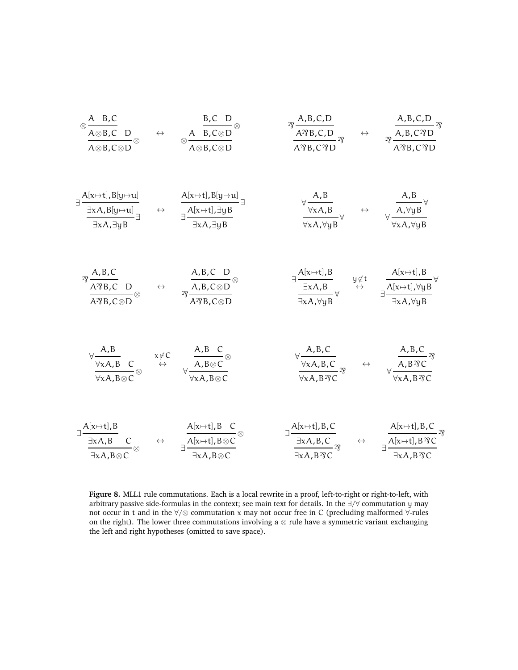<span id="page-19-0"></span>
$$
\frac{A}{A \otimes B, C} \quad \frac{B, C}{A \otimes B, C \otimes D} \quad \Leftrightarrow \quad \frac{B, C \otimes D}{A \otimes B, C \otimes D} \quad \frac{B, C, D}{A \otimes B, C, D} \quad \frac{B, C, D}{A \otimes B, C, D} \quad \frac{B, R, C, D}{A \otimes B, C \otimes D} \quad \frac{B, R, C, D}{A \otimes B, C \otimes D} \quad \frac{B, R, C, D}{A \otimes B, C \otimes D} \quad \frac{B, R, C, D}{A \otimes B, C \otimes D} \quad \frac{B, R, C, D}{A \otimes B, C \otimes D} \quad \frac{B, R, C, D}{A \otimes B, C \otimes D} \quad \frac{B, R, M, B}_{B \otimes C, C} \quad \frac{B, R, M, B}_{B \otimes C, C} \quad \frac{B, R, C}{B, R, B \otimes C} \quad \frac{B, R, C}{B, R, R, C \otimes D} \quad \frac{B, R, M, B}{B, R, C \otimes D} \quad \frac{B, R, M, B}{B, R, C \otimes D} \quad \frac{B, R, M, B}{B, R, C \otimes D} \quad \frac{B, R, M, B}{B, R, C \otimes D} \quad \frac{B, R, M, B}{B, R, R, C \otimes D} \quad \frac{B, R, M, B}{B, R, R, C \otimes D} \quad \frac{B, R, M, B}{B, R, R, R, C \otimes D} \quad \frac{B, R, M, B}{B, R, R, R, C \otimes D} \quad \frac{B, R, R, C}{B, R, R, R, R, C} \quad \frac{B, R, R, C}{B, R, R, R, R, C} \quad \frac{B, R, R, C}{B, R, R, R, R, C} \quad \frac{B, R, R, C}{B, R, R, R, R, C} \quad \frac{B, R, R, C}{B, R, R, R, R, C} \quad \frac{B, R, R, C}{B, R, R, R, R, C} \quad \frac{B, R, R, C}{B, R, R, R, R, C} \quad \frac{B, R, M, B, C}{B, R, R, R, R, C} \quad \frac{B, R, M, B, C}{B, R
$$

**Figure 8.** MLL1 rule commutations. Each is a local rewrite in a proof, left-to-right or right-to-left, with arbitrary passive side-formulas in the context; see main text for details. In the ∃/∀ commutation y may not occur in t and in the ∀/⊗ commutation x may not occur free in C (precluding malformed ∀-rules on the right). The lower three commutations involving a  $\otimes$  rule have a symmetric variant exchanging the left and right hypotheses (omitted to save space).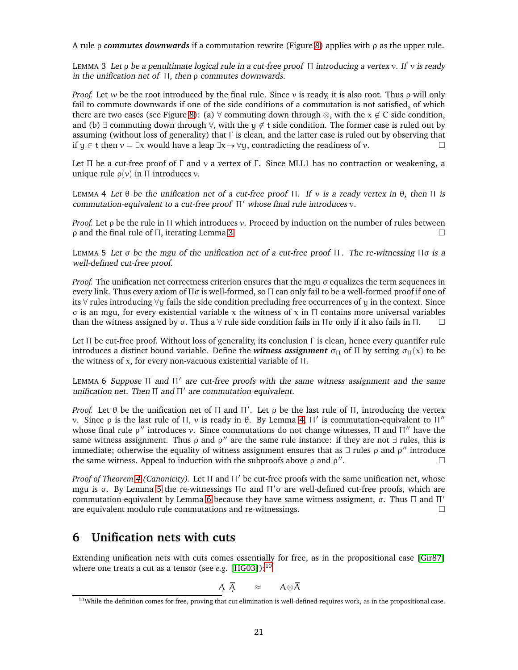<span id="page-20-1"></span>A rule ρ *commutes downwards* if a commutation rewrite (Figure [8\)](#page-19-0) applies with ρ as the upper rule.

LEMMA 3 Let  $\rho$  be a penultimate logical rule in a cut-free proof  $\Pi$  introducing a vertex v. If v is ready in the unification net of  $\Pi$ , then  $\rho$  commutes downwards.

*Proof.* Let w be the root introduced by the final rule. Since v is ready, it is also root. Thus ρ will only fail to commute downwards if one of the side conditions of a commutation is not satisfied, of which there are two cases (see Figure [8\)](#page-19-0): (a)  $\forall$  commuting down through  $\otimes$ , with the  $x \notin C$  side condition, and (b)  $\exists$  commuting down through  $\forall$ , with the  $\psi \notin t$  side condition. The former case is ruled out by assuming (without loss of generality) that  $\Gamma$  is clean, and the latter case is ruled out by observing that if y ∈ t then  $y = \exists x$  would have a leap  $\exists x \rightarrow \forall y$ , contradicting the readiness of v.

<span id="page-20-2"></span>Let  $\Pi$  be a cut-free proof of  $\Gamma$  and  $\nu$  a vertex of  $\Gamma$ . Since MLL1 has no contraction or weakening, a unique rule  $\rho(v)$  in  $\Pi$  introduces v.

LEMMA 4 Let  $θ$  be the unification net of a cut-free proof  $\Pi$ . If v is a ready vertex in  $θ$ , then  $\Pi$  is commutation-equivalent to <sup>a</sup> cut-free proof Π′ whose final rule introduces v.

*Proof.* Let *ρ* be the rule in Π which introduces *v*. Proceed by induction on the number of rules between ρ and the final rule of Π, iterating Lemma [3.](#page-20-1)

<span id="page-20-3"></span>LEMMA 5 Let  $\sigma$  be the mgu of the unification net of a cut-free proof  $\Pi$ . The re-witnessing  $\Pi \sigma$  is a well-defined cut-free proof.

*Proof.* The unification net correctness criterion ensures that the mgu  $\sigma$  equalizes the term sequences in every link. Thus every axiom of Πσ is well-formed, so Π can only fail to be a well-formed proof if one of its ∀ rules introducing ∀y fails the side condition precluding free occurrences of y in the context. Since σ is an mgu, for every existential variable x the witness of x in Π contains more universal variables than the witness assigned by  $\sigma$ . Thus a  $\forall$  rule side condition fails in  $\Pi\sigma$  only if it also fails in  $\Pi$ .

<span id="page-20-4"></span>Let  $\Pi$  be cut-free proof. Without loss of generality, its conclusion  $\Gamma$  is clean, hence every quantifer rule introduces a distinct bound variable. Define the *witness assignment*  $\sigma_{\Pi}$  of  $\Pi$  by setting  $\sigma_{\Pi}(x)$  to be the witness of x, for every non-vacuous existential variable of Π.

LEMMA 6 Suppose  $\Pi$  and  $\Pi'$  are cut-free proofs with the same witness assignment and the same unification net. Then Π and Π′ are commutation-equivalent.

*Proof.* Let θ be the unification net of Π and Π'. Let ρ be the last rule of Π, introducing the vertex ν. Since  $ρ$  is the last rule of Π, ν is ready in θ. By Lemma [4,](#page-20-2) Π' is commutation-equivalent to Π" whose final rule  $\rho''$  introduces v. Since commutations do not change witnesses,  $\Pi$  and  $\Pi''$  have the same witness assignment. Thus  $\rho$  and  $\rho''$  are the same rule instance: if they are not  $\exists$  rules, this is immediate; otherwise the equality of witness assignment ensures that as  $\exists$  rules  $\rho$  and  $\rho''$  introduce the same witness. Appeal to induction with the subproofs above  $\rho$  and  $\rho''$ . — Первый процесс в после производите в собстании и производите в собстании и производите в собстании и произ<br>В собстании и производите в собстании и производите в собстании и производите в собстании и производите в собс

*Proof of Theorem [4](#page-17-1) (Canonicity).* Let Π and Π′ be cut-free proofs with the same unification net, whose mgu is σ. By Lemma [5](#page-20-3) the re-witnessings Πσ and Π'σ are well-defined cut-free proofs, which are commutation-equivalent by Lemma [6](#page-20-4) because they have same witness assigment, σ. Thus Π and Π ′ are equivalent modulo rule commutations and re-witnessings.

# <span id="page-20-0"></span>**6 Unification nets with cuts**

Extending unification nets with cuts comes essentially for free, as in the propositional case [\[Gir87\]](#page-32-1) where one treats a cut as a tensor (see *e.g.* [\[HG03\]](#page-33-18)):[10](#page-20-5)

$$
A\overline{A} \qquad \approx \qquad A\otimes \overline{A}
$$

<span id="page-20-5"></span> $10$ While the definition comes for free, proving that cut elimination is well-defined requires work, as in the propositional case.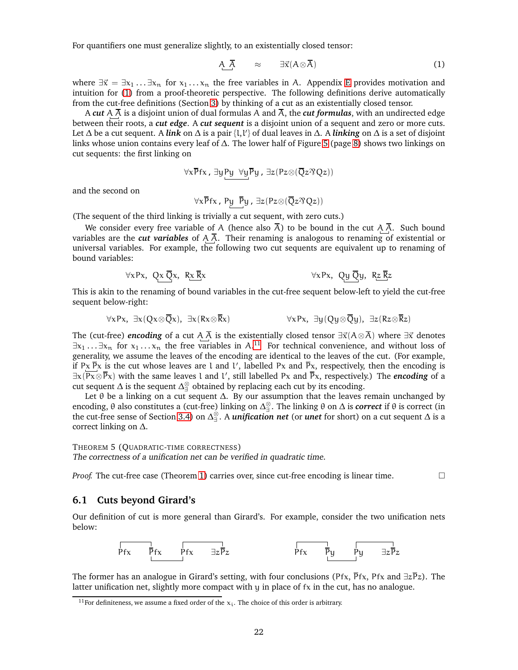For quantifiers one must generalize slightly, to an existentially closed tensor:

<span id="page-21-2"></span>
$$
\overline{A} \quad \approx \quad \exists \vec{x} (A \otimes \overline{A}) \tag{1}
$$

where  $\exists \vec{x} = \exists x_1 ... \exists x_n$  for  $x_1 ... x_n$  the free variables in A. Appendix [E](#page-32-0) provides motivation and intuition for [\(1\)](#page-21-2) from a proof-theoretic perspective. The following definitions derive automatically from the cut-free definitions (Section [3\)](#page-11-0) by thinking of a cut as an existentially closed tensor.

A *cut* A  $\overline{A}$  is a disjoint union of dual formulas A and  $\overline{A}$ , the *cut formulas*, with an undirected edge between their roots, a *cut edge*. A *cut sequent* is a disjoint union of a sequent and zero or more cuts. Let ∆ be a cut sequent. A *link* on ∆ is a pair {l,l ′ } of dual leaves in ∆. A *linking* on ∆ is a set of disjoint links whose union contains every leaf of ∆. The lower half of Figure [5](#page-7-0) (page [8\)](#page-7-0) shows two linkings on cut sequents: the first linking on

$$
\forall x \overline{P} fx \text{ , } \exists y \underline{P} y \text{ } \forall y \overline{P} y \text{ , } \exists z (Pz \otimes (\overline{Q} z \mathfrak{N} Q z))
$$

and the second on

$$
\forall x \overline{P} fx \text{, } P \underleftarrow{y} \underbrace{\overline{P}} y \text{, } \exists z (Pz \otimes (\overline{Q} z \mathfrak{N} Q z))
$$

(The sequent of the third linking is trivially a cut sequent, with zero cuts.)

We consider every free variable of A (hence also  $\overline{A}$ ) to be bound in the cut A  $\overline{A}$ . Such bound variables are the *cut variables* of  $A \overline{A}$ . Their renaming is analogous to renaming of existential or universal variables. For example, the following two cut sequents are equivalent up to renaming of bound variables:

$$
\forall x Px, Qx \overline{Q}x, Rx \overline{R}x
$$
  $\forall x Px, Qy \overline{Q}y, Rz \overline{R}z$ 

This is akin to the renaming of bound variables in the cut-free sequent below-left to yield the cut-free sequent below-right:

$$
\forall x Px, \exists x (Qx \otimes \overline{Q}x), \exists x (Rx \otimes \overline{R}x) \qquad \qquad \forall x Px, \exists y (Qy \otimes \overline{Q}y), \exists z (Rz \otimes \overline{R}z)
$$

The (cut-free) *encoding* of a cut A  $\overline{A}$  is the existentially closed tensor  $\exists \vec{x} (A \otimes \overline{A})$  where  $\exists \vec{x}$  denotes  $\exists x_1 \ldots \exists x_n$  for  $x_1 \ldots x_n$  the free variables in A.<sup>[11](#page-21-3)</sup> For technical convenience, and without loss of generality, we assume the leaves of the encoding are identical to the leaves of the cut. (For example, if Px  $\bar{P}$ x is the cut whose leaves are l and l', labelled Px and  $\bar{P}$ x, respectively, then the encoding is ∃x(Px⊗Px) with the same leaves l and l ′ , still labelled Px and Px, respectively.) The *encoding* of a cut sequent  $\Delta$  is the sequent  $\Delta_{\exists}^{\otimes}$  obtained by replacing each cut by its encoding.

Let  $\theta$  be a linking on a cut sequent  $\Delta$ . By our assumption that the leaves remain unchanged by encoding, θ also constitutes a (cut-free) linking on ∆ ⊗ ∃ . The linking θ on ∆ is *correct* if θ is correct (in the cut-free sense of Section [3.4\)](#page-12-1) on ∆ ⊗ ∃ . A *unification net* (or *unet* for short) on a cut sequent ∆ is a correct linking on ∆.

<span id="page-21-1"></span>THEOREM 5 (QUADRATIC-TIME CORRECTNESS)

The correctness of <sup>a</sup> unification net can be verified in quadratic time.

*Proof.* The cut-free case (Theorem [1\)](#page-13-1) carries over, since cut-free encoding is linear time.

#### <span id="page-21-0"></span>**6.1 Cuts beyond Girard's**

Our definition of cut is more general than Girard's. For example, consider the two unification nets below:



The former has an analogue in Girard's setting, with four conclusions (Pfx,  $\bar{P}$ fx, Pfx and  $\exists z \bar{P}z$ ). The latter unification net, slightly more compact with  $y$  in place of  $fx$  in the cut, has no analogue.

<span id="page-21-3"></span><sup>&</sup>lt;sup>11</sup> For definiteness, we assume a fixed order of the  $x_i$ . The choice of this order is arbitrary.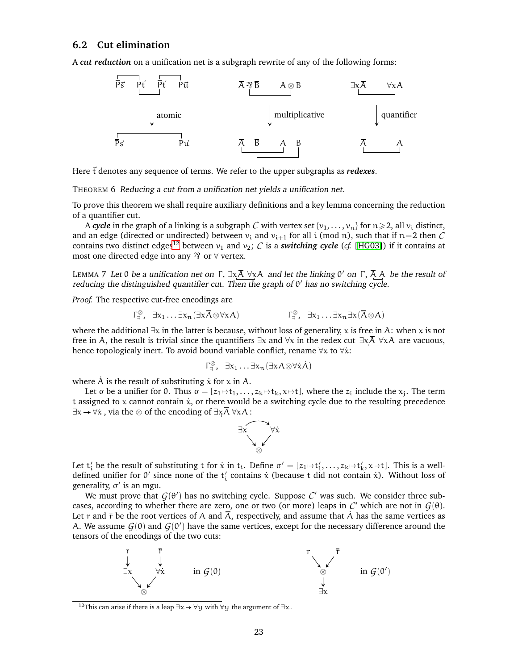### <span id="page-22-0"></span>**6.2 Cut elimination**

A *cut reduction* on a unification net is a subgraph rewrite of any of the following forms:



Here  $\vec{t}$  denotes any sequence of terms. We refer to the upper subgraphs as *redexes*.

THEOREM 6 Reducing <sup>a</sup> cut from <sup>a</sup> unification net yields <sup>a</sup> unification net.

To prove this theorem we shall require auxiliary definitions and a key lemma concerning the reduction of a quantifier cut.

A *cycle* in the graph of a linking is a subgraph *C* with vertex set  $\{v_1, \ldots, v_n\}$  for  $n \ge 2$ , all  $v_i$  distinct, and an edge (directed or undirected) between  $v_i$  and  $v_{i+1}$  for all i (mod n), such that if  $n=2$  then C contains two distinct edges<sup>[12](#page-22-1)</sup> between  $v_1$  and  $v_2$ ; *C* is a *switching cycle* (*cf.* [\[HG03\]](#page-33-18)) if it contains at most one directed edge into any  $\mathcal{B}$  or  $\forall$  vertex.

LEMMA 7 Let  $\theta$  be a unification net on  $\Gamma$ ,  $\exists x \overline{A}$   $\forall x A$  and let the linking  $\theta'$  on  $\Gamma$ ,  $\overline{A}$  A be the result of reducing the distinguished quantifier cut. Then the graph of θ ′ has no switching cycle.

*Proof.* The respective cut-free encodings are

$$
\Gamma^{\otimes}_{\exists}, \ \exists x_1 \ldots \exists x_n (\exists x \overline{A} \otimes \forall x A) \qquad \qquad \Gamma^{\otimes}_{\exists}, \ \exists x_1 \ldots \exists x_n \exists x (\overline{A} \otimes A)
$$

where the additional  $\exists x$  in the latter is because, without loss of generality, x is free in A: when x is not free in A, the result is trivial since the quantifiers  $\exists x$  and  $\forall x$  in the redex cut  $\exists x \overline{A}$   $\forall x \overline{A}$  are vacuous, hence topologicaly inert. To avoid bound variable conflict, rename  $\forall x$  to  $\forall \dot{x}$ :

<span id="page-22-3"></span><span id="page-22-2"></span>
$$
\Gamma^{\otimes}_{\exists}, \ \exists x_1 \ldots \exists x_n (\exists x \overline{A} \otimes \forall \dot{x} \dot{A})
$$

where  $\dot{A}$  is the result of substituting  $\dot{x}$  for  $x$  in A.

Let σ be a unifier for  $\theta$ . Thus  $\sigma = [z_1 \mapsto t_1, \ldots, z_k \mapsto t_k, x \mapsto t]$ , where the  $z_i$  include the  $x_i$ . The term t assigned to x cannot contain  $\dot{x}$ , or there would be a switching cycle due to the resulting precedence  $\exists x \rightarrow \forall \dot{x}$ , via the ⊗ of the encoding of  $\exists x \overline{A} \ \forall x A$ :



Let  $t'_i$  be the result of substituting t for  $\dot{x}$  in  $t_i$ . Define  $\sigma' = [z_1 \mapsto t'_1, \dots, z_k \mapsto t'_k, x \mapsto t]$ . This is a welldefined unifier for  $\theta'$  since none of the  $t'_i$  contains  $\dot{x}$  (because t did not contain  $\dot{x}$ ). Without loss of generality, σ ′ is an mgu.

We must prove that  $G(\theta')$  has no switching cycle. Suppose  $\mathcal C'$  was such. We consider three subcases, according to whether there are zero, one or two (or more) leaps in  $C'$  which are not in  $G(\theta)$ . Let r and  $\bar{r}$  be the root vertices of A and  $\bar{A}$ , respectively, and assume that A has the same vertices as A. We assume  $G(\theta)$  and  $G(\theta')$  have the same vertices, except for the necessary difference around the tensors of the encodings of the two cuts:



<span id="page-22-1"></span><sup>&</sup>lt;sup>12</sup>This can arise if there is a leap  $\exists x \rightarrow \forall y$  with  $\forall y$  the argument of  $\exists x$ .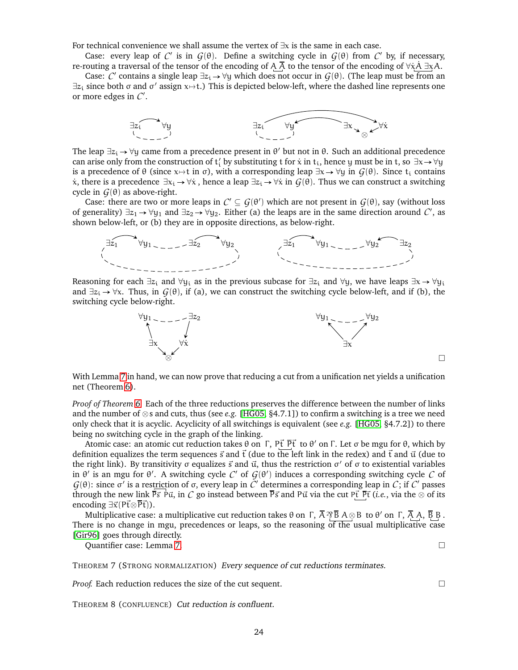For technical convenience we shall assume the vertex of ∃x is the same in each case.

Case: every leap of  $C'$  is in  $G(\theta)$ . Define a switching cycle in  $G(\theta)$  from  $C'$  by, if necessary, re-routing a traversal of the tensor of the encoding of A  $\overline{A}$  to the tensor of the encoding of  $\forall \dot{x} \overline{A} \exists x A$ .

Case:  $C'$  contains a single leap  $\exists z_i \to \forall y$  which does not occur in  $G(\theta)$ . (The leap must be from an  $\exists z_i$  since both  $\sigma$  and  $\sigma'$  assign  $x \mapsto t$ .) This is depicted below-left, where the dashed line represents one or more edges in *C* ′ .



The leap  $\exists z_i \rightarrow \forall y$  came from a precedence present in  $\theta'$  but not in  $\theta$ . Such an additional precedence can arise only from the construction of  $t'_i$  by substituting  $t$  for  $\dot{x}$  in  $t_i$ , hence  $y$  must be in  $t$ , so  $\exists x \to \forall y$ is a precedence of  $\theta$  (since x $\rightarrow$ t in  $\sigma$ ), with a corresponding leap  $\exists x \rightarrow \forall y$  in  $G(\theta)$ . Since t<sub>i</sub> contains  $\dot{x}$ , there is a precedence  $\exists x_i \rightarrow \forall \dot{x}$ , hence a leap  $\exists z_i \rightarrow \forall \dot{x}$  in  $G(\theta)$ . Thus we can construct a switching cycle in  $G(\theta)$  as above-right.

Case: there are two or more leaps in  $\mathcal{C}'\subseteq\mathcal{G}(\theta')$  which are not present in  $\mathcal{G}(\theta),$  say (without loss of generality)  $\exists z_1 \to \forall y_1$  and  $\exists z_2 \to \forall y_2$ . Either (a) the leaps are in the same direction around  $C'$ , as shown below-left, or (b) they are in opposite directions, as below-right.



Reasoning for each  $\exists z_i$  and  $\forall y_i$  as in the previous subcase for  $\exists z_i$  and  $\forall y_i$ , we have leaps  $\exists x \rightarrow \forall y_i$ and  $\exists z_i \rightarrow \forall x$ . Thus, in  $G(\theta)$ , if (a), we can construct the switching cycle below-left, and if (b), the switching cycle below-right.



 $\Box$ 

With Lemma [7](#page-22-2) in hand, we can now prove that reducing a cut from a unification net yields a unification net (Theorem [6\)](#page-22-3).

*Proof of Theorem [6.](#page-22-3)* Each of the three reductions preserves the difference between the number of links and the number of ⊗s and cuts, thus (see *e.g.* [\[HG05,](#page-33-19) §4.7.1]) to confirm a switching is a tree we need only check that it is acyclic. Acyclicity of all switchings is equivalent (see *e.g.* [\[HG05,](#page-33-19) §4.7.2]) to there being no switching cycle in the graph of the linking.

Atomic case: an atomic cut reduction takes  $\theta$  on Γ, Pt  $\overrightarrow{Pt}$  to  $\theta'$  on Γ. Let σ be mgu for  $\theta$ , which by definition equalizes the term sequences  $\vec{s}$  and  $\vec{t}$  (due to the left link in the redex) and  $\vec{t}$  and  $\vec{u}$  (due to the right link). By transitivity σ equalizes  $\vec{s}$  and  $\vec{u}$ , thus the restriction σ' of σ to existential variables in  $θ'$  is an mgu for  $θ'$ . A switching cycle  $C'$  of  $G(θ')$  induces a corresponding switching cycle  $C$  of *G*( $θ$ ): since  $σ'$  is a restriction of  $σ$ , every leap in  $\tilde{C}'$  determines a corresponding leap in *C*; if *C'* passes through the new link  $\bar{P}\vec{s}$  P $\vec{u}$ , in *C* go instead between  $\bar{P}\vec{s}$  and P $\vec{u}$  via the cut P $\vec{t}$   $\bar{P}\vec{t}$  (*i.e.*, via the ⊗ of its encoding  $\exists \vec{x} (P\vec{t} \otimes \overline{P}\vec{t}))$ .

Multiplicative case: a multiplicative cut reduction takes θ on Γ,  $\bar{\rm A}$   $\rm \mathfrak{\bar B}$  A  $\otimes$ B to θ $'$  on Γ,  $\bar{\rm A}$  A,  $\bar{\rm B}$  B . There is no change in mgu, precedences or leaps, so the reasoning  $\overline{of}$  the usual multiplicative case [\[Gir96\]](#page-33-0) goes through directly.

Quantifier case: Lemma [7.](#page-22-2)

THEOREM 7 (STRONG NORMALIZATION) Every sequence of cut reductions terminates.

*Proof.* Each reduction reduces the size of the cut sequent.

THEOREM 8 (CONFLUENCE) Cut reduction is confluent.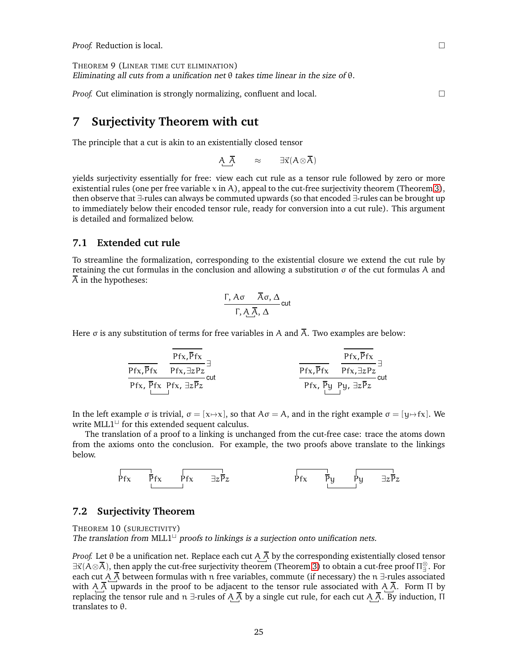<span id="page-24-3"></span>THEOREM 9 (LINEAR TIME CUT ELIMINATION) Eliminating all cuts from a unification net  $\theta$  takes time linear in the size of  $\theta$ .

*Proof.* Cut elimination is strongly normalizing, confluent and local.

## <span id="page-24-0"></span>**7 Surjectivity Theorem with cut**

The principle that a cut is akin to an existentially closed tensor

A  $\overline{A}$  ≈  $\exists \vec{x} (A \otimes \overline{A})$ 

yields surjectivity essentially for free: view each cut rule as a tensor rule followed by zero or more existential rules (one per free variable  $x$  in A), appeal to the cut-free surjectivity theorem (Theorem [3\)](#page-15-2), then observe that ∃-rules can always be commuted upwards (so that encoded ∃-rules can be brought up to immediately below their encoded tensor rule, ready for conversion into a cut rule). This argument is detailed and formalized below.

## <span id="page-24-1"></span>**7.1 Extended cut rule**

To streamline the formalization, corresponding to the existential closure we extend the cut rule by retaining the cut formulas in the conclusion and allowing a substitution  $\sigma$  of the cut formulas A and  $\overline{A}$  in the hypotheses:

$$
\frac{\Gamma, A\sigma \quad \overline{A}\sigma, \Delta}{\Gamma, A\overline{A}, \Delta}cut
$$

Here  $\sigma$  is any substitution of terms for free variables in A and  $\overline{A}$ . Two examples are below:

| $\overline{Pfx, \overline{Pfx}}$ | $\overline{Pfx, \overline{Pfx}}$ | $\overline{Pfx, \overline{Pfx}}$ |                                  |
|----------------------------------|----------------------------------|----------------------------------|----------------------------------|
| $\overline{Pfx, \overline{Pfx}}$ | $\overline{Pfx, \overline{Pfx}}$ | $\overline{Pfx, \overline{Pfx}}$ | $\overline{Pfx, \overline{Pfx}}$ |
| $\overline{Pfx, \overline{Pfx}}$ | $\overline{Pfx, \overline{Pfx}}$ | $\overline{Pfx, \overline{Pfx}}$ | $\overline{Pfx, \overline{Pfx}}$ |
| $\overline{Pfx, \overline{Pfx}}$ | $\overline{Pfx, \overline{Py}}$  | $\overline{Qx}$                  |                                  |

In the left example  $\sigma$  is trivial,  $\sigma = [x \mapsto x]$ , so that  $A\sigma = A$ , and in the right example  $\sigma = [y \mapsto fx]$ . We write MLL1<sup>⊔</sup> for this extended sequent calculus.

The translation of a proof to a linking is unchanged from the cut-free case: trace the atoms down from the axioms onto the conclusion. For example, the two proofs above translate to the linkings below.



#### <span id="page-24-4"></span><span id="page-24-2"></span>**7.2 Surjectivity Theorem**

THEOREM 10 (SURJECTIVITY) The translation from MLL1<sup> $\sqcup$ </sup> proofs to linkings is a surjection onto unification nets.

*Proof.* Let  $\theta$  be a unification net. Replace each cut A  $\overline{A}$  by the corresponding existentially closed tensor  $\exists\vec x(A\otimes\overline{A})$ , then apply the cut-free surjectivity theorem (Theorem [3\)](#page-15-2) to obtain a cut-free proof  $\Pi^{\otimes}_\exists$ . For each cut A  $\overline{A}$  between formulas with n free variables, commute (if necessary) the n ∃-rules associated with A A upwards in the proof to be adjacent to the tensor rule associated with A A. Form  $\Pi$  by replacing the tensor rule and n ∃-rules of A  $\bar{A}$  by a single cut rule, for each cut A  $\bar{A}$ . By induction, Π translates to θ.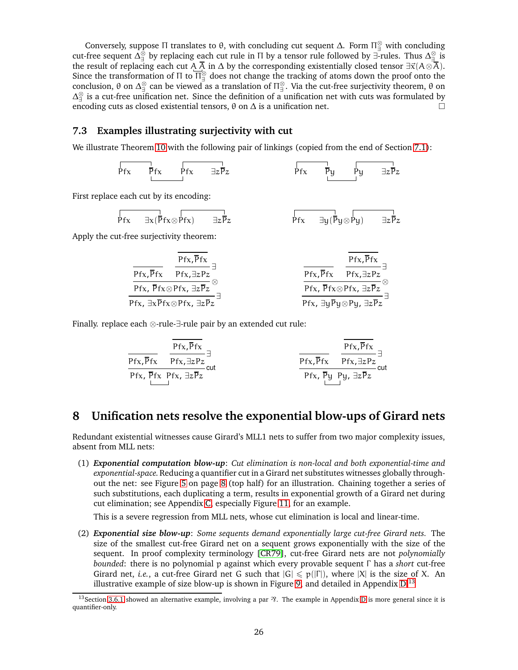Conversely, suppose  $\Pi$  translates to  $\theta$ , with concluding cut sequent  $\Delta$ . Form  $\Pi_{\exists}^{\otimes}$  with concluding cut-free sequent  $\Delta_\exists^\otimes$  by replacing each cut rule in  $\Pi$  by a tensor rule followed by ∃-rules. Thus  $\Delta_\exists^\otimes$  is the result of replacing each cut A  $\overline{A}$  in  $\Delta$  by the corresponding existentially closed tensor  $\exists \vec{x} (A \otimes \overline{A})$ . Since the transformation of  $\Pi$  to  $\overline{\Pi_{\exists}^{\otimes}}$  does not change the tracking of atoms down the proof onto the conclusion, θ on  $\Delta_{\exists}^{\otimes}$  can be viewed as a translation of  $\Pi_{\exists}^{\otimes}$ . Via the cut-free surjectivity theorem, θ on  $\Delta_{\exists}^{\otimes}$  is a cut-free unification net. Since the definition of a unification net with cuts was formulated by encoding cuts as closed existential tensors,  $\theta$  on  $\Delta$  is a unification net.

## <span id="page-25-0"></span>**7.3 Examples illustrating surjectivity with cut**

We illustrate Theorem [10](#page-24-4) with the following pair of linkings (copied from the end of Section [7.1\)](#page-24-1):

$$
\begin{array}{ccc}\n\overrightarrow{Pfx} & \overrightarrow{Pfx} & \overrightarrow{ZFz} \\
\downarrow \qquad \qquad & \downarrow \qquad \qquad & \downarrow \qquad \qquad & \downarrow \qquad \qquad & \downarrow \qquad \qquad & \downarrow \qquad \qquad & \downarrow \qquad \qquad & \downarrow \qquad \qquad & \downarrow \qquad \qquad & \downarrow \qquad \qquad & \downarrow \qquad \qquad & \downarrow \qquad \qquad & \downarrow \qquad \qquad & \downarrow \qquad \qquad & \downarrow \qquad \qquad & \downarrow \qquad \qquad & \downarrow \qquad \qquad & \downarrow \qquad \qquad & \downarrow \qquad \qquad & \downarrow \qquad \qquad & \downarrow \qquad \qquad & \downarrow \qquad \qquad & \downarrow \qquad \qquad & \downarrow \qquad \qquad & \downarrow \qquad \qquad & \downarrow \qquad \qquad & \downarrow \qquad \qquad & \downarrow \qquad \qquad & \downarrow \qquad \qquad & \downarrow \qquad \qquad & \downarrow \qquad \qquad & \downarrow \qquad \qquad & \downarrow \qquad \qquad & \downarrow \qquad \qquad & \downarrow \qquad \qquad & \downarrow \qquad \qquad & \downarrow \qquad \qquad & \downarrow \qquad \qquad & \downarrow \qquad \qquad & \downarrow \qquad \qquad & \downarrow \qquad \qquad & \downarrow \qquad \qquad & \downarrow \qquad \qquad & \downarrow \qquad \qquad & \downarrow \qquad \qquad & \downarrow \qquad \qquad & \downarrow \qquad \qquad & \downarrow \qquad \qquad & \downarrow \qquad \qquad & \downarrow \qquad \qquad & \downarrow \qquad \qquad & \downarrow \qquad \qquad & \downarrow \qquad \qquad & \downarrow \qquad \qquad & \downarrow \qquad \qquad & \downarrow \qquad \qquad & \downarrow \qquad \qquad & \downarrow \qquad \qquad & \downarrow \qquad \qquad & \downarrow \qquad \qquad & \downarrow \qquad \qquad & \downarrow \qquad \qquad & \downarrow \qquad \qquad & \downarrow \qquad \qquad & \downarrow \qquad \qquad & \downarrow \qquad \qquad & \downarrow \qquad \qquad & \downarrow \qquad \qquad & \downarrow \qquad \qquad & \downarrow \qquad \qquad & \downarrow \qquad \qquad & \downarrow \qquad \qquad & \downarrow \qquad \
$$

First replace each cut by its encoding:

$$
\overrightarrow{Pfx} = \frac{1}{\exists x (\overrightarrow{Pfx} \otimes \overrightarrow{Pfx})} \qquad \frac{1}{\exists z \overrightarrow{Pz}} \qquad \qquad \overrightarrow{Pfx} = \frac{1}{\exists y (\overrightarrow{Py} \otimes \overrightarrow{Py})} \qquad \frac{1}{\exists z \overrightarrow{Pz}}
$$

Apply the cut-free surjectivity theorem:

$$
\frac{\overline{Pfx,\overline{Pfx}}}{\frac{\overline{Pfx,\overline{Pfx}}}{\overline{Pfx,\overline{Pfx},\exists zPz}}}\overline{\exists}_{\substack{\overline{Pfx,\overline{Pfx}}\\\overline{Pfx,\overline{Pfx}\otimes Pfx,\exists z\overline{Pz}}\\\overline{Pfx,\overline{Pfx}\otimes Pfx,\exists z\overline{Pz}}}}^{\text{Pfx},\overline{\overline{Pfx}}}\overline{\exists}_{\substack{\overline{Pfx,\overline{Pfx}}\\\overline{Pfx,\overline{Pfx}\otimes Pfx,\exists z\overline{Pz}}\\\overline{Pfx,\exists y\overline{Py}\otimes Py,\exists z\overline{Pz}}}}^{\text{Pfx},\overline{\overline{Pfx}}}\overline{\exists}_{\substack{\overline{Pfx,\overline{Pfx}\otimes Pfx,\exists z\overline{Pz}}\\\overline{Pfx,\exists y\overline{Py}\otimes Py,\exists z\overline{Pz}}}}^{\text{Pfx},\overline{\overline{Pfx}}}
$$

Finally. replace each ⊗-rule-∃-rule pair by an extended cut rule:

| $\overline{Pfx, \overline{Pfx}}$ | $\overline{Pfx, \overline{Pfx}}$                           |                                  |                                  |
|----------------------------------|------------------------------------------------------------|----------------------------------|----------------------------------|
| $\overline{Pfx, \overline{Pfx}}$ | $\overline{Pfx, \overline{Pfx}}$                           | $\overline{Pfx, \overline{Pfx}}$ | $\overline{Pfx, \overline{Pfx}}$ |
| $\overline{Pfx, \overline{Pfx}}$ | $\overline{Pfx, \overline{Pfx}}$                           | $\overline{Pfx, \overline{Pfx}}$ | $\overline{Pfx, \overline{Pfx}}$ |
| $\overline{Pfx, \overline{Pfx}}$ | $\overline{Pfx, \overline{Py} Py, \overline{\exists zPz}}$ |                                  |                                  |

## <span id="page-25-1"></span>**8 Unification nets resolve the exponential blow-ups of Girard nets**

Redundant existential witnesses cause Girard's MLL1 nets to suffer from two major complexity issues, absent from MLL nets:

(1) *Exponential computation blow-up*: *Cut elimination is non-local and both exponential-time and exponential-space.*Reducing a quantifier cut in a Girard net substitutes witnesses globally throughout the net: see Figure [5](#page-7-0) on page [8](#page-7-0) (top half) for an illustration. Chaining together a series of such substitutions, each duplicating a term, results in exponential growth of a Girard net during cut elimination; see Appendix [C,](#page-30-0) especially Figure [11,](#page-31-0) for an example.

This is a severe regression from MLL nets, whose cut elimination is local and linear-time.

(2) *Exponential size blow-up*: *Some sequents demand exponentially large cut-free Girard nets.* The size of the smallest cut-free Girard net on a sequent grows exponentially with the size of the sequent. In proof complexity terminology [\[CR79\]](#page-32-5), cut-free Girard nets are not *polynomially bounded*: there is no polynomial p against which every provable sequent Γ has a *short* cut-free Girard net, *i.e.*, a cut-free Girard net G such that  $|G| \leq p(|\Gamma|)$ , where  $|X|$  is the size of X. An illustrative example of size blow-up is shown in Figure [9,](#page-26-0) and detailed in Appendix  $D^{13}$  $D^{13}$  $D^{13}$ 

<span id="page-25-2"></span><sup>&</sup>lt;sup>13</sup> Section [3.6.1](#page-14-1) showed an alternative example, involving a par  $\mathcal{R}$ . The example in Appendix [D](#page-30-1) is more general since it is quantifier-only.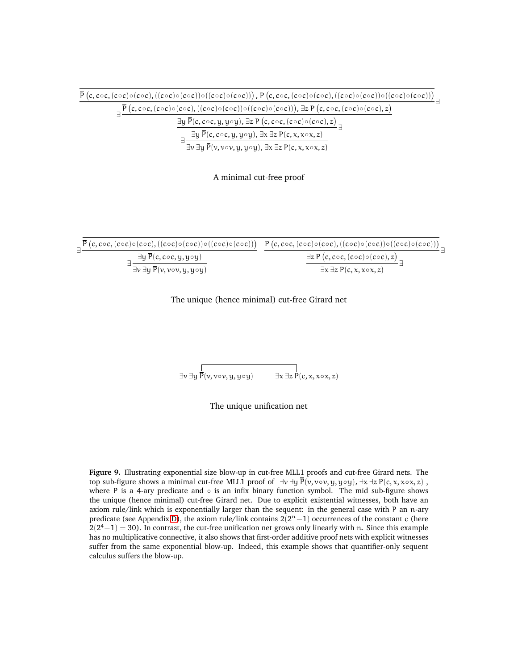<span id="page-26-0"></span>

| $\overline{P}(c, c \circ c, (c \circ c) \circ (c \circ c), ((c \circ c) \circ (c \circ c)) \circ ((c \circ c) \circ (c \circ c)))$ , $P(c, c \circ c, (c \circ c) \circ (c \circ c), ((c \circ c) \circ (c \circ c)) \circ ((c \circ c) \circ (c \circ c)))$ |
|--------------------------------------------------------------------------------------------------------------------------------------------------------------------------------------------------------------------------------------------------------------|
| $\frac{1}{2}P(c, c \circ c, (c \circ c) \circ (c \circ c), ((c \circ c) \circ (c \circ c)) \circ ((c \circ c) \circ (c \circ c)))$ , $\exists z P(c, c \circ c, (c \circ c) \circ (c \circ c), z)$                                                           |
| $\exists y \overline{P}(c, c \circ c, y, y \circ y), \exists z P(c, c \circ c, (c \circ c) \circ (c \circ c), z)$                                                                                                                                            |
| $\exists y \overline{P}(c, c \circ c, y, y \circ y), \exists x \exists z P(c, x, x \circ x, z)$                                                                                                                                                              |
| $\exists v \exists y P(v, v \circ v, y, y \circ y), \exists x \exists z P(c, x, x \circ x, z)$                                                                                                                                                               |

A minimal cut-free proof

| $\frac{1}{2} \overline{P}(c, c \circ c, (c \circ c) \circ (c \circ c), ((c \circ c) \circ (c \circ c)) \circ ((c \circ c) \circ (c \circ c)))$ $P(c, c \circ c, (c \circ c) \circ (c \circ c), ((c \circ c) \circ (c \circ c)) \circ ((c \circ c) \circ (c \circ c)))$ |                                                               |
|------------------------------------------------------------------------------------------------------------------------------------------------------------------------------------------------------------------------------------------------------------------------|---------------------------------------------------------------|
| $\exists$ y P(c, c $\circ$ c, y, y $\circ$ y)                                                                                                                                                                                                                          | $\exists z P(c, c \circ c, (c \circ c) \circ (c \circ c), z)$ |
| $\exists v \exists y \overline{P}(v, v \circ v, y, y \circ y)$                                                                                                                                                                                                         | $\exists x \exists z P(c, x, x \circ x, z)$                   |

The unique (hence minimal) cut-free Girard net

 $\exists v \exists y \overline{P(v, v \circ v, y, y \circ y)}$   $\exists x \exists z P(c, x, x \circ x, z)$ 

The unique unification net

**Figure 9.** Illustrating exponential size blow-up in cut-free MLL1 proofs and cut-free Girard nets. The top sub-figure shows a minimal cut-free MLL1 proof of  $\exists v \exists y \overline{P}(v, v \circ v, y, y \circ y)$ ,  $\exists x \exists z P(c, x, x \circ x, z)$ , where P is a 4-ary predicate and  $\circ$  is an infix binary function symbol. The mid sub-figure shows the unique (hence minimal) cut-free Girard net. Due to explicit existential witnesses, both have an axiom rule/link which is exponentially larger than the sequent: in the general case with P an n-ary predicate (see Appendix [D\)](#page-30-1), the axiom rule/link contains  $2(2<sup>n</sup>-1)$  occurrences of the constant c (here  $2(2^4-1) = 30$ ). In contrast, the cut-free unification net grows only linearly with n. Since this example has no multiplicative connective, it also shows that first-order additive proof nets with explicit witnesses suffer from the same exponential blow-up. Indeed, this example shows that quantifier-only sequent calculus suffers the blow-up.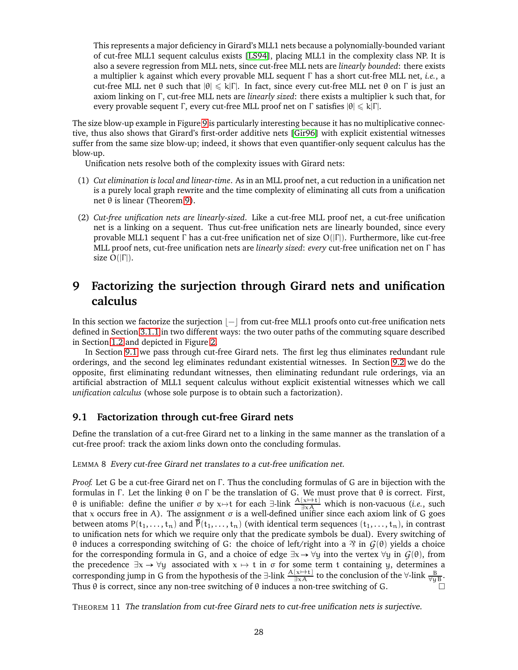This represents a major deficiency in Girard's MLL1 nets because a polynomially-bounded variant of cut-free MLL1 sequent calculus exists [\[LS94\]](#page-33-2), placing MLL1 in the complexity class NP. It is also a severe regression from MLL nets, since cut-free MLL nets are *linearly bounded*: there exists a multiplier k against which every provable MLL sequent Γ has a short cut-free MLL net, *i.e.*, a cut-free MLL net θ such that  $|\theta| \le k|\Gamma|$ . In fact, since every cut-free MLL net θ on Γ is just an axiom linking on Γ , cut-free MLL nets are *linearly sized*: there exists a multiplier k such that, for every provable sequent Γ, every cut-free MLL proof net on Γ satisfies  $|\theta| \le k|\Gamma|$ .

The size blow-up example in Figure [9](#page-26-0) is particularly interesting because it has no multiplicative connective, thus also shows that Girard's first-order additive nets [\[Gir96\]](#page-33-0) with explicit existential witnesses suffer from the same size blow-up; indeed, it shows that even quantifier-only sequent calculus has the blow-up.

Unification nets resolve both of the complexity issues with Girard nets:

- (1) *Cut elimination is local and linear-time*. As in an MLL proof net, a cut reduction in a unification net is a purely local graph rewrite and the time complexity of eliminating all cuts from a unification net θ is linear (Theorem [9\)](#page-24-3).
- (2) *Cut-free unification nets are linearly-sized*. Like a cut-free MLL proof net, a cut-free unification net is a linking on a sequent. Thus cut-free unification nets are linearly bounded, since every provable MLL1 sequent Γ has a cut-free unification net of size  $O(|\Gamma|)$ . Furthermore, like cut-free MLL proof nets, cut-free unification nets are *linearly sized*: *every* cut-free unification net on Γ has size  $O(|\Gamma|)$ .

# <span id="page-27-0"></span>**9 Factorizing the surjection through Girard nets and unification calculus**

In this section we factorize the surjection  $|-|$  from cut-free MLL1 proofs onto cut-free unification nets defined in Section [3.1.1](#page-11-2) in two different ways: the two outer paths of the commuting square described in Section [1.2](#page-2-1) and depicted in Figure [2.](#page-3-0)

In Section [9.1](#page-27-1) we pass through cut-free Girard nets. The first leg thus eliminates redundant rule orderings, and the second leg eliminates redundant existential witnesses. In Section [9.2](#page-28-0) we do the opposite, first eliminating redundant witnesses, then eliminating redundant rule orderings, via an artificial abstraction of MLL1 sequent calculus without explicit existential witnesses which we call *unification calculus* (whose sole purpose is to obtain such a factorization).

## <span id="page-27-1"></span>**9.1 Factorization through cut-free Girard nets**

<span id="page-27-2"></span>Define the translation of a cut-free Girard net to a linking in the same manner as the translation of a cut-free proof: track the axiom links down onto the concluding formulas.

LEMMA 8 Every cut-free Girard net translates to <sup>a</sup> cut-free unification net.

*Proof.* Let G be a cut-free Girard net on Γ. Thus the concluding formulas of G are in bijection with the formulas in Γ . Let the linking θ on Γ be the translation of G. We must prove that θ is correct. First,  $θ$  is unifiable: define the unifier σ by x→t for each  $\exists$ -link  $\frac{A(x) + t}{\exists x A}$  which is non-vacuous (*i.e.*, such that x occurs free in A). The assignment σ is a well-defined unifier since each axiom link of G goes between atoms  $P(t_1, \ldots, t_n)$  and  $\overline{P}(t_1, \ldots, t_n)$  (with identical term sequences  $(t_1, \ldots, t_n)$ , in contrast to unification nets for which we require only that the predicate symbols be dual). Every switching of θ induces a corresponding switching of G: the choice of left/right into a  $\mathfrak{B}$  in  $G(\theta)$  yields a choice for the corresponding formula in G, and a choice of edge  $\exists x \rightarrow \forall y$  into the vertex  $\forall y$  in  $G(\theta)$ , from the precedence  $\exists x \rightarrow \forall y$  associated with  $x \mapsto t$  in  $\sigma$  for some term t containing y, determines a corresponding jump in G from the hypothesis of the  $\exists$ -link  $\frac{A[x\mapsto t]}{\exists xA}$  to the conclusion of the  $\forall$ -link  $\frac{B}{\forall yB}$ . Thus  $\theta$  is correct, since any non-tree switching of  $\theta$  induces a non-tree switching of G.

THEOREM 11 The translation from cut-free Girard nets to cut-free unification nets is surjective.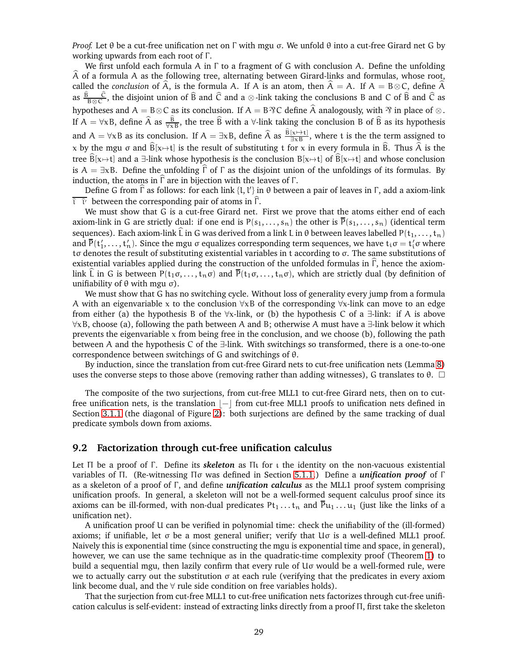*Proof.* Let θ be a cut-free unification net on Γ with mgu σ. We unfold θ into a cut-free Girard net G by working upwards from each root of Γ.

We first unfold each formula A in Γ to a fragment of G with conclusion A. Define the unfolding  $\hat{A}$  of a formula A as the following tree, alternating between Girard-links and formulas, whose root, called the *conclusion* of  $\hat{A}$ , is the formula A. If A is an atom, then  $\hat{A} = A$ . If  $A = B \otimes C$ , define  $\hat{A}$ as  $B_{B\otimes C}$ , the disjoint union of  $\widehat{B}$  and  $\widehat{C}$  and a  $\otimes$ -link taking the conclusions B and C of  $\widehat{B}$  and  $\widehat{C}$  as hypotheses and A = B⊗C as its conclusion. If A = B $\%$ C define  $\hat{A}$  analogously, with  $\%$  in place of ⊗. If  $A = \forall x B$ , define  $\widehat{A}$  as  $\frac{B}{\forall x B}$ , the tree  $\widehat{B}$  with a  $\forall$ -link taking the conclusion B of  $\widehat{B}$  as its hypothesis and  $A = \forall x B$  as its conclusion. If  $A = \exists x B$ , define  $\hat{A}$  as  $\frac{B[x \mapsto t]}{\exists x B}$ , where t is the the term assigned to x by the mgu  $\sigma$  and  $\widehat{B}[x\mapsto t]$  is the result of substituting t for x in every formula in  $\widehat{B}$ . Thus  $\widehat{A}$  is the tree  $\widehat{B}[x\rightarrow t]$  and a  $\exists$ -link whose hypothesis is the conclusion  $B[x\rightarrow t]$  of  $\widehat{B}[x\rightarrow t]$  and whose conclusion is A =  $\exists xB$ . Define the unfolding  $\hat{\Gamma}$  of  $\Gamma$  as the disjoint union of the unfoldings of its formulas. By induction, the atoms in  $\hat{\Gamma}$  are in bijection with the leaves of  $\Gamma$ .

Define G from  $\widehat{\Gamma}$  as follows: for each link {l, l′} in θ between a pair of leaves in Γ, add a axiom-link  $\hat{\iota}$   $\hat{\iota}'$  between the corresponding pair of atoms in  $\Gamma$ .

We must show that G is a cut-free Girard net. First we prove that the atoms either end of each axiom-link in G are strictly dual: if one end is  $P(s_1,...,s_n)$  the other is  $\overline{P}(s_1,...,s_n)$  (identical term sequences). Each axiom-link  $\widehat{L}$  in G was derived from a link L in  $\theta$  between leaves labelled P( $t_1, \ldots, t_n$ ) and  $\bar{P}(t'_1,\ldots,t'_n)$ . Since the mgu  $\sigma$  equalizes corresponding term sequences, we have  $t_i\sigma=t'_i\sigma$  where tσ denotes the result of substituting existential variables in t according to σ. The same substitutions of existential variables applied during the construction of the unfolded formulas in  $\hat{\Gamma}$ , hence the axiomlink  $\hat{L}$  in G is between  $P(t_1\sigma, \ldots, t_n\sigma)$  and  $\overline{P}(t_1\sigma, \ldots, t_n\sigma)$ , which are strictly dual (by definition of unifiability of  $θ$  with mgu  $σ$ ).

We must show that G has no switching cycle. Without loss of generality every jump from a formula A with an eigenvariable x to the conclusion  $\forall x B$  of the corresponding  $\forall x$ -link can move to an edge from either (a) the hypothesis B of the  $\forall x$ -link, or (b) the hypothesis C of a  $\exists$ -link: if A is above ∀xB, choose (a), following the path between A and B; otherwise A must have a ∃-link below it which prevents the eigenvariable  $x$  from being free in the conclusion, and we choose (b), following the path between A and the hypothesis C of the ∃-link. With switchings so transformed, there is a one-to-one correspondence between switchings of G and switchings of θ.

By induction, since the translation from cut-free Girard nets to cut-free unification nets (Lemma [8\)](#page-27-2) uses the converse steps to those above (removing rather than adding witnesses), G translates to  $\theta$ .  $\square$ 

The composite of the two surjections, from cut-free MLL1 to cut-free Girard nets, then on to cutfree unification nets, is the translation  $|-|$  from cut-free MLL1 proofs to unification nets defined in Section [3.1.1](#page-11-2) (the diagonal of Figure [2\)](#page-3-0): both surjections are defined by the same tracking of dual predicate symbols down from axioms.

### <span id="page-28-0"></span>**9.2 Factorization through cut-free unification calculus**

Let Π be a proof of Γ . Define its *skeleton* as Πι for ι the identity on the non-vacuous existential variables of Π. (Re-witnessing Πσ was defined in Section [5.1.1.](#page-18-1)) Define a *unification proof* of Γ as a skeleton of a proof of Γ , and define *unification calculus* as the MLL1 proof system comprising unification proofs. In general, a skeleton will not be a well-formed sequent calculus proof since its axioms can be ill-formed, with non-dual predicates  $Pt_1 \ldots t_n$  and  $\bar{P}u_1 \ldots u_1$  (just like the links of a unification net).

A unification proof U can be verified in polynomial time: check the unifiability of the (ill-formed) axioms; if unifiable, let σ be a most general unifier; verify that Uσ is a well-defined MLL1 proof. Naively this is exponential time (since constructing the mgu is exponential time and space, in general), however, we can use the same technique as in the quadratic-time complexity proof (Theorem [1\)](#page-13-1) to build a sequential mgu, then lazily confirm that every rule of Uσ would be a well-formed rule, were we to actually carry out the substitution σ at each rule (verifying that the predicates in every axiom link become dual, and the  $\forall$  rule side condition on free variables holds).

That the surjection from cut-free MLL1 to cut-free unification nets factorizes through cut-free unification calculus is self-evident: instead of extracting links directly from a proof Π, first take the skeleton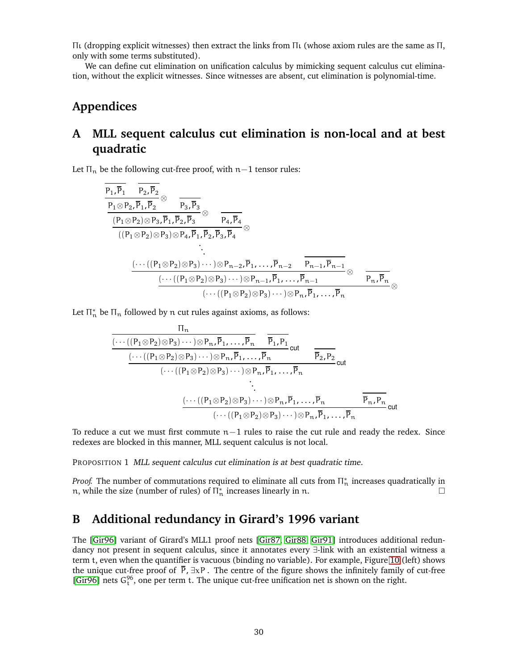Πι (dropping explicit witnesses) then extract the links from Πι (whose axiom rules are the same as Π, only with some terms substituted).

We can define cut elimination on unification calculus by mimicking sequent calculus cut elimination, without the explicit witnesses. Since witnesses are absent, cut elimination is polynomial-time.

# **Appendices**

# <span id="page-29-0"></span>**A MLL sequent calculus cut elimination is non-local and at best quadratic**

Let  $\Pi_n$  be the following cut-free proof, with  $n-1$  tensor rules:

$$
\begin{array}{lll} \frac{p_1,\overline{p}_1 & p_2,\overline{p}_2}{p_1\otimes P_2,\overline{p}_1,\overline{p}_2}\otimes & \frac{}{P_3,\overline{p}_3}\ \\\hline \frac{(P_1\otimes P_2)\otimes P_3,\overline{P}_1,\overline{P}_2,\overline{P}_3}\otimes & \overline{P_4,\overline{P}_4}\ \\\hline \frac{((P_1\otimes P_2)\otimes P_3)\otimes P_4,\overline{P}_1,\overline{P}_2,\overline{P}_3,\overline{P}_4}\otimes & \cdot \\ & \cdot & \cdot & \cdot & \cdot \\\hline \frac{(\cdots((P_1\otimes P_2)\otimes P_3)\cdots)\otimes P_{n-2},\overline{P}_1,\dots,\overline{P}_{n-2}}{(\cdots((P_1\otimes P_2)\otimes P_3)\cdots)\otimes P_{n-1},\overline{P}_1,\dots,\overline{P}_{n-1}}\otimes & \overline{P_{n},\overline{P}_{n}}\ \\\hline \frac{(\cdots((P_1\otimes P_2)\otimes P_3)\cdots)\otimes P_{n-1},\overline{P}_1,\dots,\overline{P}_{n-1}}{(\cdots((P_1\otimes P_2)\otimes P_3)\cdots)\otimes P_{n},\overline{P}_1,\dots,\overline{P}_{n}}\otimes & \cdot\end{array}
$$

Let  $\Pi^*_n$  be  $\Pi_n$  followed by n cut rules against axioms, as follows:

$$
\frac{\Pi_n}{\frac{(\cdots((P_1 \otimes P_2) \otimes P_3)\cdots)\otimes P_n,\overline{P}_1,\ldots,\overline{P}_n}{(\cdots((P_1 \otimes P_2) \otimes P_3)\cdots)\otimes P_n,\overline{P}_1,\ldots,\overline{P}_n} \text{cut}}{\cdots((P_1 \otimes P_2) \otimes P_3)\cdots)\otimes P_n,\overline{P}_1,\ldots,\overline{P}_n} \text{cut}
$$
\n
$$
\vdots
$$
\n
$$
\frac{(\cdots((P_1 \otimes P_2) \otimes P_3)\cdots)\otimes P_n,\overline{P}_1,\ldots,\overline{P}_n}{\cdots}
$$
\n
$$
\frac{(\cdots((P_1 \otimes P_2) \otimes P_3)\cdots)\otimes P_n,\overline{P}_1,\ldots,\overline{P}_n}{\cdots)\otimes P_n,\overline{P}_1,\ldots,\overline{P}_n} \text{cut}
$$

To reduce a cut we must first commute n−1 rules to raise the cut rule and ready the redex. Since redexes are blocked in this manner, MLL sequent calculus is not local.

PROPOSITION 1 MLL sequent calculus cut elimination is at best quadratic time.

*Proof.* The number of commutations required to eliminate all cuts from  $\Pi^*_n$  increases quadratically in n, while the size (number of rules) of  $\prod_{n=1}^{\infty}$  increases linearly in n.

## <span id="page-29-1"></span>**B Additional redundancy in Girard's 1996 variant**

The [\[Gir96\]](#page-33-0) variant of Girard's MLL1 proof nets [\[Gir87,](#page-32-1) [Gir88,](#page-32-3) [Gir91\]](#page-32-4) introduces additional redundancy not present in sequent calculus, since it annotates every ∃-link with an existential witness a term t, even when the quantifier is vacuous (binding no variable). For example, Figure [10](#page-30-2) (left) shows the unique cut-free proof of  $\bar{P}$ ,  $\exists x P$ . The centre of the figure shows the infinitely family of cut-free [\[Gir96\]](#page-33-0) nets  $G_t^{96}$ , one per term t. The unique cut-free unification net is shown on the right.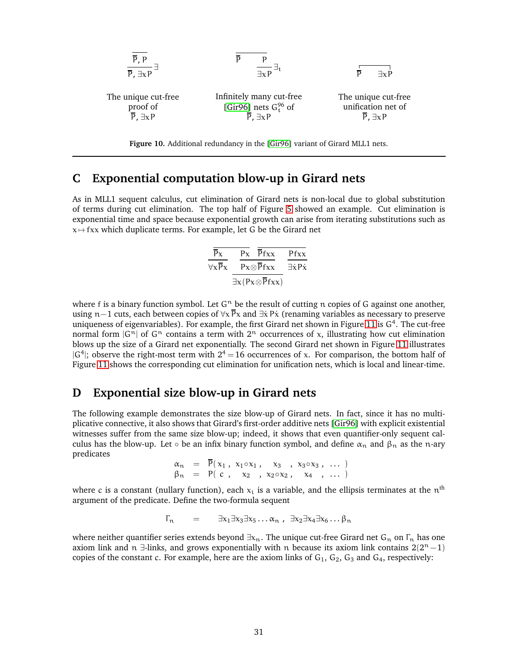<span id="page-30-2"></span>

**Figure 10.** Additional redundancy in the [\[Gir96\]](#page-33-0) variant of Girard MLL1 nets.

## <span id="page-30-0"></span>**C Exponential computation blow-up in Girard nets**

As in MLL1 sequent calculus, cut elimination of Girard nets is non-local due to global substitution of terms during cut elimination. The top half of Figure [5](#page-7-0) showed an example. Cut elimination is exponential time and space because exponential growth can arise from iterating substitutions such as  $x \mapsto fxx$  which duplicate terms. For example, let G be the Girard net

$$
\frac{\overline{\overline{P}x}}{\forall x \overline{P}x} \frac{\overline{P}x}{\frac{\overline{P}x \otimes \overline{P}fxx}{\exists x (P x \otimes \overline{P}fxx)}} \frac{\overline{P}fxx}{\exists \dot{x} P \dot{x}}
$$

where f is a binary function symbol. Let  $G<sup>n</sup>$  be the result of cutting n copies of G against one another, using n–1 cuts, each between copies of  $\forall x \vec{P}x$  and  $\exists \dot{x} P\dot{x}$  (renaming variables as necessary to preserve uniqueness of eigenvariables). For example, the first Girard net shown in Figure [11](#page-31-0) is  $G^4$ . The cut-free normal form  $|G^n|$  of  $G^n$  contains a term with  $2^n$  occurrences of x, illustrating how cut elimination blows up the size of a Girard net exponentially. The second Girard net shown in Figure [11](#page-31-0) illustrates  $|G^4|$ ; observe the right-most term with  $2^4 = 16$  occurrences of x. For comparison, the bottom half of Figure [11](#page-31-0) shows the corresponding cut elimination for unification nets, which is local and linear-time.

## <span id="page-30-1"></span>**D Exponential size blow-up in Girard nets**

The following example demonstrates the size blow-up of Girard nets. In fact, since it has no multiplicative connective, it also shows that Girard's first-order additive nets [\[Gir96\]](#page-33-0) with explicit existential witnesses suffer from the same size blow-up; indeed, it shows that even quantifier-only sequent calculus has the blow-up. Let  $\circ$  be an infix binary function symbol, and define  $\alpha_n$  and  $\beta_n$  as the n-ary predicates

$$
\begin{array}{rcl}\n\alpha_n & = & \overline{P}(x_1, x_1 \circ x_1, x_3, x_3 \circ x_3, \dots) \\
\beta_n & = & P(\ c, x_2, x_2 \circ x_2, x_4, \dots)\n\end{array}
$$

where c is a constant (nullary function), each  $\mathrm{x_{i}}$  is a variable, and the ellipsis terminates at the  $\mathrm{n^{th}}$ argument of the predicate. Define the two-formula sequent

$$
\Gamma_n = \exists x_1 \exists x_3 \exists x_5 \dots \alpha_n , \exists x_2 \exists x_4 \exists x_6 \dots \beta_n
$$

where neither quantifier series extends beyond  $\exists x_n$ . The unique cut-free Girard net G<sub>n</sub> on  $\Gamma_n$  has one axiom link and n ∃-links, and grows exponentially with n because its axiom link contains  $2(2^n-1)$ copies of the constant c. For example, here are the axiom links of  $G_1$ ,  $G_2$ ,  $G_3$  and  $G_4$ , respectively: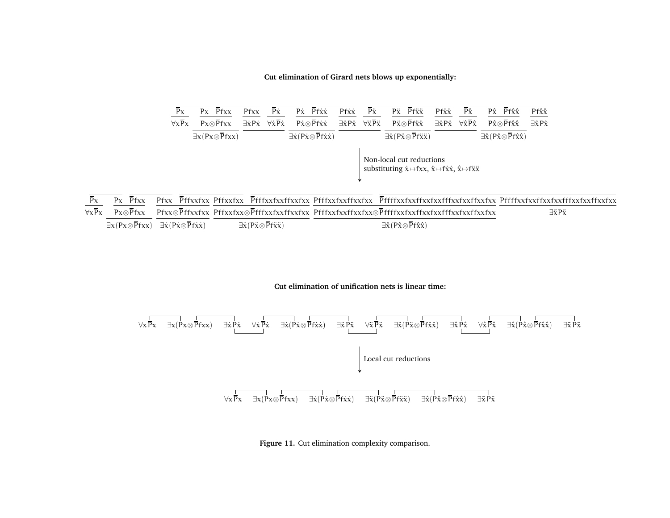**Cut elimination of Girard nets blows up exponentially:**

<span id="page-31-0"></span>

| $\bar{P}x$                           | $Px$ Pfxx                                | Pfxx                        | $\overline{P}\dot{x}$                  | $P\dot{x}$ $\overline{P}f\dot{x}\dot{x}$                             | $Pf\dot{x}\dot{x}$            | $\bar{P}\ddot{x}$                        | $\overline{P}$ f $\ddot{x}\ddot{x}$<br>$P\ddot{\chi}$                                                                                           | $Pf\ddot{x}\ddot{x}$          | $\overline{P}\hat{x}$                  | $\overline{P}$ fîx<br>Pî                                         | $Pf\hat{x}\hat{x}$              |
|--------------------------------------|------------------------------------------|-----------------------------|----------------------------------------|----------------------------------------------------------------------|-------------------------------|------------------------------------------|-------------------------------------------------------------------------------------------------------------------------------------------------|-------------------------------|----------------------------------------|------------------------------------------------------------------|---------------------------------|
| $\overline{\forall x \overline{P}x}$ | $Px \otimes Pfxx$                        | $\exists \dot{x} P \dot{x}$ | $\forall \dot{x} \overline{P} \dot{x}$ | $P\dot{\chi}\otimes\overline{P}f\dot{\chi}\dot{\chi}$                | $\exists \ddot{x} P \ddot{x}$ | $\forall \ddot{x} \overline{P} \ddot{x}$ | $P\ddot{x}\otimes\overline{P}f\ddot{x}\ddot{x}$                                                                                                 | $\exists \ddot{x} P \ddot{x}$ | $\forall \hat{x} \overline{P} \hat{x}$ | $P\hat{x} \otimes Pf\hat{x}\hat{x}$                              | $\exists \tilde{x} P \tilde{x}$ |
|                                      | $\exists x (Px \otimes \overline{P}fxx)$ |                             |                                        | $\exists \dot{x} (P \dot{x} \otimes \overline{P} f \dot{x} \dot{x})$ |                               |                                          | $\exists \ddot{x} (P \ddot{x} \otimes \overline{P} f \ddot{x} \ddot{x})$                                                                        |                               |                                        | $\exists \hat{x} (P\hat{x} \otimes \overline{P}f\hat{x}\hat{x})$ |                                 |
|                                      |                                          |                             |                                        |                                                                      |                               |                                          | Non-local cut reductions<br>substituting $\dot{x} \mapsto f x x$ , $\ddot{x} \mapsto f \dot{x} \dot{x}$ , $\hat{x} \mapsto f \ddot{x} \ddot{x}$ |                               |                                        |                                                                  |                                 |

 $\overline{P}x$  ∀xPx $\overline{P_{\chi}}$   $\overline{P_{f\chi\chi}}$  Px⊗Pfxx Pfxx⊗Pffxxfxx Pffxxfxx⊗Pfffxxfxxffxxfxx Pfffxxfxxffxxfxx⊗Pffffxxfxxffxxfxxfffxxfxxffxxfxx $\exists x (Px \otimes \overline{Pf}x x) \quad \exists \dot{x} (P\dot{x} \otimes \overline{Pf}\dot{x}\dot{x})$ Pfxx PffxxfxxPffxxfxx PfffxxfxxffxxfxxPfffxxfxxffxxfxx PffffxxfxxffxxfxxfffxxfxxffxxfxxPffffxxfxxffxxfxxfffxxfxxffxxfxx∃ $\ddot{x}$ (P $\ddot{x}$ ⊗Pf $\ddot{x}\ddot{x}$ ) ∃x̂(Px̂⊗Pfx̂x̂) ∃xP˜ <sup>x</sup>˜

**Cut elimination of unification nets is linear time:**



**Figure 11.** Cut elimination complexity comparison.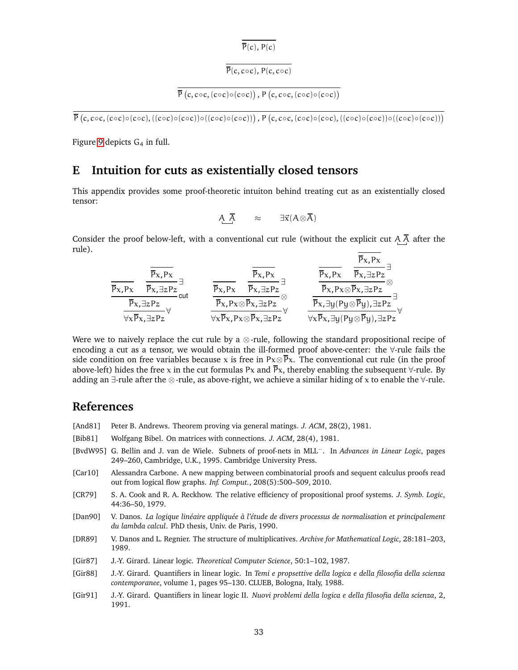$\overline{P}(c)$ ,  $P(c)$ 

# $\overline{P(c, c \circ c), P(c, c \circ c)}$

```
\overline{P}(c, c \circ c, (c \circ c) \circ (c \circ c)) , P(c, c \circ c, (c \circ c) \circ (c \circ c))
```
 $\overline{P}(c, c \circ c, (c \circ c) \circ (c \circ c), ((c \circ c) \circ (c \circ c)) \circ ((c \circ c \circ c) \circ (c \circ c)) \circ ((c \circ c) \circ (c \circ c)) \circ ((c \circ c) \circ (c \circ c)) \circ ((c \circ c) \circ (c \circ c)) \circ ((c \circ c) \circ (c \circ c)) \circ ((c \circ c) \circ (c \circ c)) \circ ((c \circ c) \circ (c \circ c)) \circ ((c \circ c) \circ (c \circ c)) \circ ((c \circ c) \circ (c \circ c)) \circ ((c \circ c) \circ (c \circ c)) \circ ((c \circ c) \circ (c \circ c))$ 

Figure [9](#page-26-0) depicts  $G_4$  in full.

## <span id="page-32-0"></span>**E Intuition for cuts as existentially closed tensors**

This appendix provides some proof-theoretic intuiton behind treating cut as an existentially closed tensor:

$$
A\ \overline{A}\qquad \approx \qquad \exists \vec{x}(A\otimes \overline{A})
$$

Consider the proof below-left, with a conventional cut rule (without the explicit cut  $A\overline{A}$  after the rule).  $\overline{p}$ <sub>x</sub>,  $\overline{p}$ <sub>x</sub>,

$$
\frac{\overline{p}_{x,Px}}{\overline{p}_{x,Px}} \xrightarrow[\overline{p}_{x,\exists zPz}]{\overline{p}_{x,\exists zPz}}_{cut} \text{cut} \quad \frac{\overline{p}_{x,Px}}{\overline{p}_{x,Px} \otimes \overline{p}_{x,\exists zPz}}_{\forall x \overline{p}_{x,Px} \otimes \overline{p}_{x,\exists zPz}} \text{cut} \quad \frac{\overline{p}_{x,Px}}{\overline{p}_{x,Px} \otimes \overline{p}_{x,\exists zPz}} \text{performs} \quad \frac{\overline{p}_{x,Px}}{\overline{p}_{x,Px} \otimes \overline{p}_{x,\exists zPz}} \text{performs} \quad \frac{\overline{p}_{x,Px}}{\overline{p}_{x,Px} \otimes \overline{p}_{x,\exists zPz}} \text{performs} \quad \frac{\overline{p}_{x,Px} \otimes \overline{p}_{x,\exists zPz}}{\overline{p}_{x,\exists y(Py \otimes \overline{p}_{y}), \exists zPz}} \text{performs} \quad \frac{\overline{p}_{x,Px} \otimes \overline{p}_{x,\exists zPz}}{\overline{p}_{x,\exists y(Py \otimes \overline{p}_{y}), \exists zPz}} \text{performs} \quad \frac{\overline{p}_{x,Px} \otimes \overline{p}_{x,\exists zPz}}{\overline{p}_{x,\exists y(Py \otimes \overline{p}_{y}), \exists zPz}} \text{performs} \quad \frac{\overline{p}_{x,Px} \otimes \overline{p}_{x,\exists zPz}}{\overline{p}_{x,\exists y(Py \otimes \overline{p}_{y}), \exists zPz}} \text{performs} \quad \frac{\overline{p}_{x,Px} \otimes \overline{p}_{x,\exists zPz}}{\overline{p}_{x,\exists y(Py \otimes \overline{p}_{y}), \exists zPz}} \text{performs} \quad \frac{\overline{p}_{x,Px} \otimes \overline{p}_{x,\exists zPz}}{\overline{p}_{x,\exists y(Py \otimes \overline{p}_{y}), \exists zPz}} \text{performs} \quad \frac{\overline{p}_{x,Px} \otimes \overline{p}_{x,\exists zPz}}{\overline{p}_{x,\exists y(Py \otimes \overline{p}_{y}), \exists zPz}} \text{performs} \quad \frac{\overline{p}_{x,Px} \otimes \overline{p}_{x,\exists zPz}}{\over
$$

Were we to naively replace the cut rule by a  $\otimes$ -rule, following the standard propositional recipe of encoding a cut as a tensor, we would obtain the ill-formed proof above-center: the ∀-rule fails the side condition on free variables because x is free in Px⊗ $\overline{P}x$ . The conventional cut rule (in the proof above-left) hides the free x in the cut formulas Px and  $\bar{P}x$ , thereby enabling the subsequent  $\forall$ -rule. By adding an ∃-rule after the ⊗-rule, as above-right, we achieve a similar hiding of x to enable the ∀-rule.

## **References**

- <span id="page-32-8"></span>[And81] Peter B. Andrews. Theorem proving via general matings. *J. ACM*, 28(2), 1981.
- <span id="page-32-7"></span>[Bib81] Wolfgang Bibel. On matrices with connections. *J. ACM*, 28(4), 1981.
- <span id="page-32-9"></span>[BvdW95] G. Bellin and J. van de Wiele. Subnets of proof-nets in MLL<sup>−</sup>. In *Advances in Linear Logic*, pages 249–260, Cambridge, U.K., 1995. Cambridge University Press.
- <span id="page-32-6"></span>[Car10] Alessandra Carbone. A new mapping between combinatorial proofs and sequent calculus proofs read out from logical flow graphs. *Inf. Comput.*, 208(5):500–509, 2010.
- <span id="page-32-5"></span>[CR79] S. A. Cook and R. A. Reckhow. The relative efficiency of propositional proof systems. *J. Symb. Logic*, 44:36–50, 1979.
- <span id="page-32-10"></span>[Dan90] V. Danos. *La logique linéaire appliquée à l'étude de divers processus de normalisation et principalement du lambda calcul*. PhD thesis, Univ. de Paris, 1990.
- <span id="page-32-2"></span>[DR89] V. Danos and L. Regnier. The structure of multiplicatives. *Archive for Mathematical Logic*, 28:181–203, 1989.
- <span id="page-32-1"></span>[Gir87] J.-Y. Girard. Linear logic. *Theoretical Computer Science*, 50:1–102, 1987.
- <span id="page-32-3"></span>[Gir88] J.-Y. Girard. Quantifiers in linear logic. In *Temi e propsettive della logica e della filosofia della scienza contemporanee*, volume 1, pages 95–130. CLUEB, Bologna, Italy, 1988.
- <span id="page-32-4"></span>[Gir91] J.-Y. Girard. Quantifiers in linear logic II. *Nuovi problemi della logica e della filosofia della scienza*, 2, 1991.